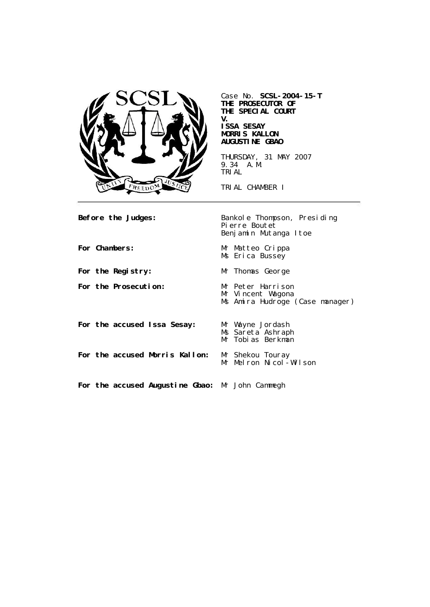

Case No. **SCSL-2004-15-T THE PROSECUTOR OF THE SPECIAL COURT V. ISSA SESAY MORRIS KALLON AUGUSTINE GBAO**

THURSDAY, 31 MAY 2007 9.34 A.M. TRIAL

TRIAL CHAMBER I

**Before the Judges:** Bankole Thompson, Presiding Pierre Boutet Benjamin Mutanga Itoe For Chambers: Mr Matteo Crippa Ms Erica Bussey For the Registry: Mr Thomas George **For the Prosecution:** Mr Peter Harrison Mr Vincent Wagona Ms Amira Hudroge (Case manager) **For the accused Issa Sesay:** Mr Wayne Jordash Ms Sareta Ashraph Mr Tobias Berkman **For the accused Morris Kallon:** Mr Shekou Touray Mr Melron Nicol-Wilson **For the accused Augustine Gbao:** Mr John Cammegh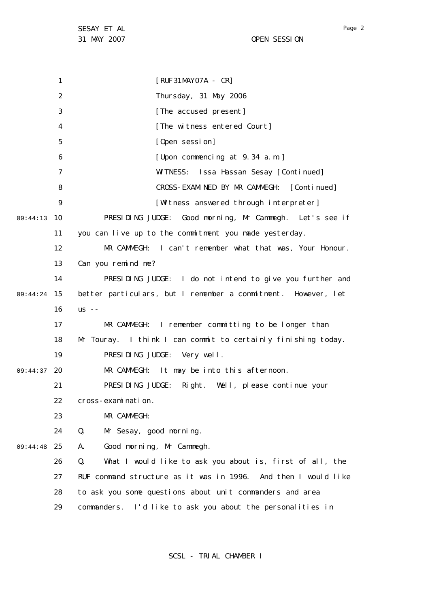1 2 3 4 5 6 7 8  $\mathsf{Q}$ 10 09:44:13 11 12 13 14 15 09:44:24 16 17 18 19 09:44:37 20 21 22 23 24 25 09:44:48 26 27 28 29 [RUF31MAY07A - CR] Thursday, 31 May 2006 [The accused present] [The witness entered Court] [Open session] [Upon commencing at 9.34 a.m.] WITNESS: Issa Hassan Sesay [Continued] CROSS-EXAMINED BY MR CAMMEGH: [Continued] [Witness answered through interpreter] PRESIDING JUDGE: Good morning, Mr Cammegh. Let's see if you can live up to the commitment you made yesterday. MR CAMMEGH: I can't remember what that was, Your Honour. Can you remind me? PRESIDING JUDGE: I do not intend to give you further and better particulars, but I remember a commitment. However, let  $US - -$ MR CAMMEGH: I remember committing to be longer than Mr Touray. I think I can commit to certainly finishing today. PRESIDING JUDGE: Very well. MR CAMMEGH: It may be into this afternoon. PRESIDING JUDGE: Right. Well, please continue your cross-examination. MR CAMMEGH: Q. Mr Sesay, good morning. A. Good morning, Mr Cammegh. Q. What I would like to ask you about is, first of all, the RUF command structure as it was in 1996. And then I would like to ask you some questions about unit commanders and area commanders. I'd like to ask you about the personalities in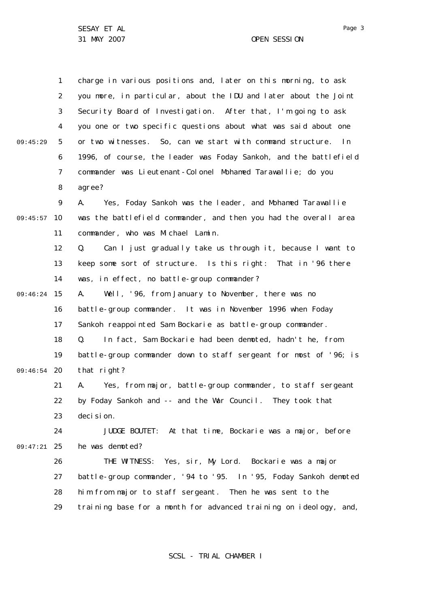31 MAY 2007 OPEN SESSION

1 2 3 4 5 6 7 8  $\mathsf{Q}$ 09:45:57 10 11 12 13 14 15 09:46:24 16 17 18 19 09:46:54 20 21 22 23 24 25 09:47:21 26 27 28 29 09:45:29 charge in various positions and, later on this morning, to ask you more, in particular, about the IDU and later about the Joint Security Board of Investigation. After that, I'm going to ask you one or two specific questions about what was said about one or two witnesses. So, can we start with command structure. In 1996, of course, the leader was Foday Sankoh, and the battlefield commander was Lieutenant-Colonel Mohamed Tarawallie; do you agree? A. Yes, Foday Sankoh was the leader, and Mohamed Tarawallie was the battlefield commander, and then you had the overall area commander, who was Michael Lamin. Q. Can I just gradually take us through it, because I want to keep some sort of structure. Is this right: That in '96 there was, in effect, no battle-group commander? A. Well, '96, from January to November, there was no battle-group commander. It was in November 1996 when Foday Sankoh reappointed Sam Bockarie as battle-group commander. Q. In fact, Sam Bockarie had been demoted, hadn't he, from battle-group commander down to staff sergeant for most of '96; is that right? A. Yes, from major, battle-group commander, to staff sergeant by Foday Sankoh and -- and the War Council. They took that deci si on. JUDGE BOUTET: At that time, Bockarie was a major, before he was demoted? THE WITNESS: Yes, sir, My Lord. Bockarie was a major battle-group commander, '94 to '95. In '95, Foday Sankoh demoted him from major to staff sergeant. Then he was sent to the training base for a month for advanced training on ideology, and,

SCSL - TRIAL CHAMBER I

Page 3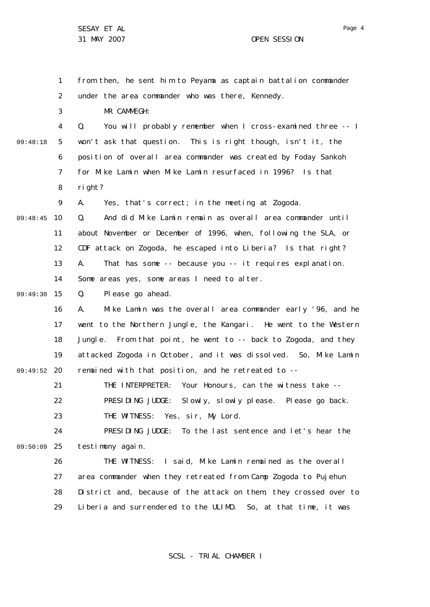1 2 3 4 5 6 7 8  $\mathsf{Q}$ 09:48:45 10 11 12 13 14 09:49:30 15 16 17 18 19 09:49:52 20 21 22 23 24 09:50:09 25 26 27 28 29 09:48:18 from then, he sent him to Peyama as captain battalion commander under the area commander who was there, Kennedy. MR CAMMEGH: Q. You will probably remember when I cross-examined three -- I won't ask that question. This is right though, isn't it, the position of overall area commander was created by Foday Sankoh for Mike Lamin when Mike Lamin resurfaced in 1996? Is that right? A. Yes, that's correct; in the meeting at Zogoda. Q. And did Mike Lamin remain as overall area commander until about November or December of 1996, when, following the SLA, or CDF attack on Zogoda, he escaped into Liberia? Is that right? A. That has some -- because you -- it requires explanation. Some areas yes, some areas I need to alter. Q. Please go ahead. A. Mike Lamin was the overall area commander early '96, and he went to the Northern Jungle, the Kangari. He went to the Western Jungle. From that point, he went to -- back to Zogoda, and they attacked Zogoda in October, and it was dissolved. So, Mike Lamin remained with that position, and he retreated to -- THE INTERPRETER: Your Honours, can the witness take -- PRESIDING JUDGE: Slowly, slowly please. Please go back. THE WITNESS: Yes, sir, My Lord. PRESIDING JUDGE: To the last sentence and let's hear the testimony again. THE WITNESS: I said, Mike Lamin remained as the overall area commander when they retreated from Camp Zogoda to Pujehun District and, because of the attack on them, they crossed over to Liberia and surrendered to the ULIMO. So, at that time, it was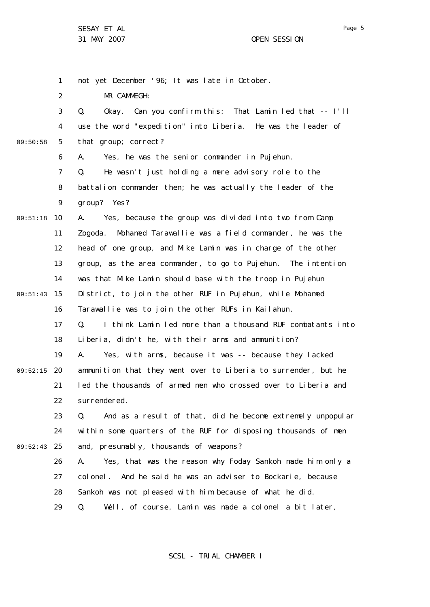1

2 3 4 5 6 7 8  $\mathsf{Q}$ 09:51:18 10 11 12 13 14 09:51:43 15 16 17 18 19 09:52:15 20 21 22 23 24 25 09:52:43 26 27 28 29 09:50:58 not yet December '96; It was late in October. MR CAMMEGH: Q. Okay. Can you confirm this: That Lamin led that -- I'll use the word "expedition" into Liberia. He was the leader of that group; correct? A. Yes, he was the senior commander in Pujehun. Q. He wasn't just holding a mere advisory role to the battalion commander then; he was actually the leader of the group? Yes? A. Yes, because the group was divided into two from Camp Zogoda. Mohamed Tarawallie was a field commander, he was the head of one group, and Mike Lamin was in charge of the other group, as the area commander, to go to Pujehun. The intention was that Mike Lamin should base with the troop in Pujehun District, to join the other RUF in Pujehun, while Mohamed Tarawallie was to join the other RUFs in Kailahun. Q. I think Lamin led more than a thousand RUF combatants into Liberia, didn't he, with their arms and ammunition? A. Yes, with arms, because it was -- because they lacked ammunition that they went over to Liberia to surrender, but he led the thousands of armed men who crossed over to Liberia and surrendered. Q. And as a result of that, did he become extremely unpopular within some quarters of the RUF for disposing thousands of men and, presumably, thousands of weapons? A. Yes, that was the reason why Foday Sankoh made him only a colonel. And he said he was an adviser to Bockarie, because Sankoh was not pleased with him because of what he did. Q. Well, of course, Lamin was made a colonel a bit later,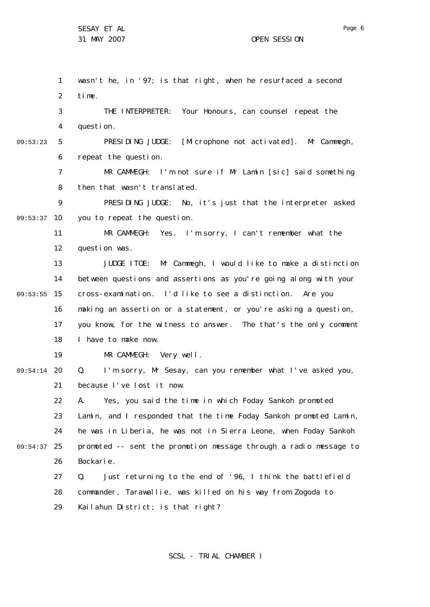1 2 3 4 5 6 7 8  $\mathsf{Q}$ 09:53:37 10 11 12 13 14 09:53:55 15 16 17 18 19 20 09:54:14 21 22 23 24 25 09:54:37 26 27 28 29 09:53:23 wasn't he, in '97; is that right, when he resurfaced a second time. THE INTERPRETER: Your Honours, can counsel repeat the question. PRESIDING JUDGE: [Microphone not activated]. Mr Cammegh, repeat the question. MR CAMMEGH: I'm not sure if Mr Lamin [sic] said something then that wasn't translated. PRESIDING JUDGE: No, it's just that the interpreter asked you to repeat the question. MR CAMMEGH: Yes. I'm sorry, I can't remember what the question was. JUDGE ITOE: Mr Cammegh, I would like to make a distinction between questions and assertions as you're going along with your cross-examination. I'd like to see a distinction. Are you making an assertion or a statement, or you're asking a question, you know, for the witness to answer. The that's the only comment I have to make now. MR CAMMEGH: Very well. Q. I'm sorry, Mr Sesay, can you remember what I've asked you, because I've lost it now. A. Yes, you said the time in which Foday Sankoh promoted Lamin, and I responded that the time Foday Sankoh promoted Lamin, he was in Liberia, he was not in Sierra Leone, when Foday Sankoh promoted -- sent the promotion message through a radio message to Bockarie. Q. Just returning to the end of '96, I think the battlefield commander, Tarawallie, was killed on his way from Zogoda to Kailahun District; is that right?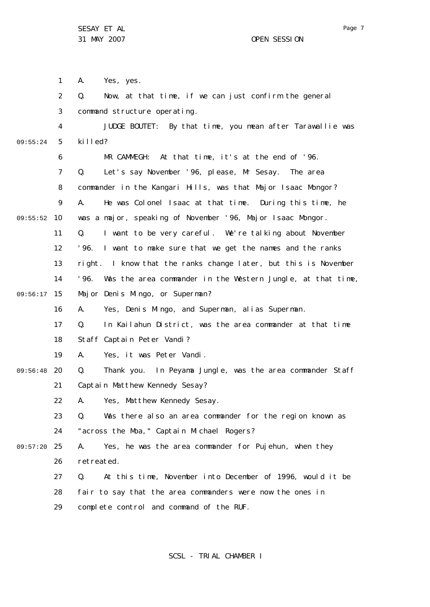1 2 3 4 5 6 7 8  $\mathsf{Q}$ 09:55:52 10 11 12 13 14 09:56:17 15 16 17 18 19 09:56:48 20 21 22 23 24 25 09:57:20 26 27 28 29 09:55:24 A. Yes, yes. Q. Now, at that time, if we can just confirm the general command structure operating. JUDGE BOUTET: By that time, you mean after Tarawallie was killed? MR CAMMEGH: At that time, it's at the end of '96. Q. Let's say November '96, please, Mr Sesay. The area commander in the Kangari Hills, was that Major Isaac Mongor? A. He was Colonel Isaac at that time. During this time, he was a major, speaking of November '96, Major Isaac Mongor. Q. I want to be very careful. We're talking about November '96. I want to make sure that we get the names and the ranks right. I know that the ranks change later, but this is November '96. Was the area commander in the Western Jungle, at that time, Major Denis Mingo, or Superman? A. Yes, Denis Mingo, and Superman, alias Superman. Q. In Kailahun District, was the area commander at that time Staff Captain Peter Vandi? A. Yes, it was Peter Vandi. Q. Thank you. In Peyama Jungle, was the area commander Staff Captain Matthew Kennedy Sesay? A. Yes, Matthew Kennedy Sesay. Q. Was there also an area commander for the region known as "across the Moa," Captain Michael Rogers? A. Yes, he was the area commander for Pujehun, when they retreated. Q. At this time, November into December of 1996, would it be fair to say that the area commanders were now the ones in complete control and command of the RUF.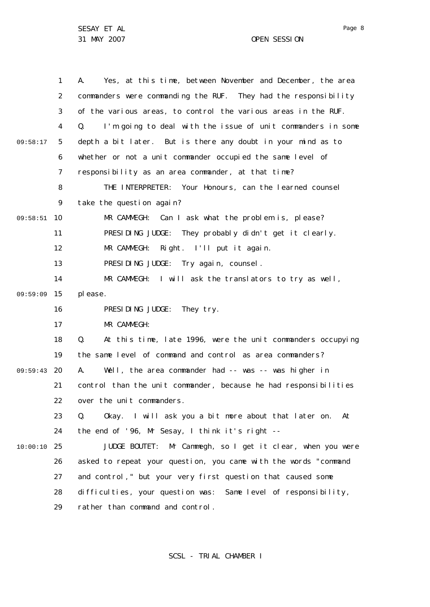1 2 3 4 5 6 7 8  $\mathsf{Q}$ 09:58:51 10 11 12 13 14 09:59:09 15 16 17 18 19 09:59:43 20 21 22 23 24 25 10:00:10 26 27 28 29 09:58:17 A. Yes, at this time, between November and December, the area commanders were commanding the RUF. They had the responsibility of the various areas, to control the various areas in the RUF. Q. I'm going to deal with the issue of unit commanders in some depth a bit later. But is there any doubt in your mind as to whether or not a unit commander occupied the same level of responsibility as an area commander, at that time? THE INTERPRETER: Your Honours, can the learned counsel take the question again? MR CAMMEGH: Can I ask what the problem is, please? PRESIDING JUDGE: They probably didn't get it clearly. MR CAMMEGH: Right. I'll put it again. PRESIDING JUDGE: Try again, counsel. MR CAMMEGH: I will ask the translators to try as well, please. PRESIDING JUDGE: They try. MR CAMMEGH: Q. At this time, late 1996, were the unit commanders occupying the same level of command and control as area commanders? A. Well, the area commander had -- was -- was higher in control than the unit commander, because he had responsibilities over the unit commanders. Q. Okay. I will ask you a bit more about that later on. At the end of '96, Mr Sesay, I think it's right -- JUDGE BOUTET: Mr Cammegh, so I get it clear, when you were asked to repeat your question, you came with the words "command and control," but your very first question that caused some difficulties, your question was: Same level of responsibility, rather than command and control.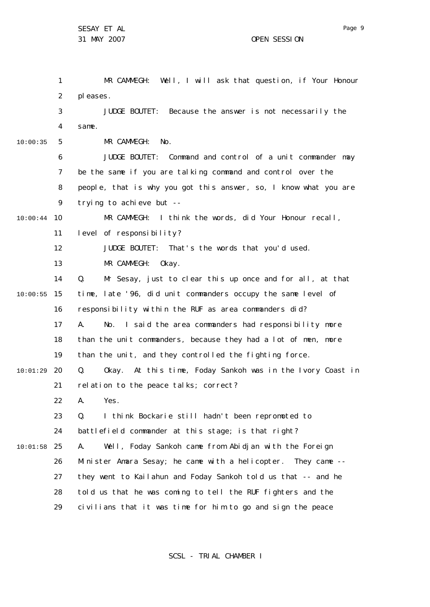|          | 1  | MR CAMMEGH: Well, I will ask that question, if Your Honour                |
|----------|----|---------------------------------------------------------------------------|
|          | 2  | pleases.                                                                  |
|          | 3  | JUDGE BOUTET: Because the answer is not necessarily the                   |
|          | 4  | same.                                                                     |
| 10:00:35 | 5  | MR CAMMEGH:<br>No.                                                        |
|          | 6  | JUDGE BOUTET: Command and control of a unit commander may                 |
|          | 7  | be the same if you are talking command and control over the               |
|          | 8  | people, that is why you got this answer, so, I know what you are          |
|          | 9  | trying to achieve but --                                                  |
| 10:00:44 | 10 | MR CAMMEGH: I think the words, did Your Honour recall,                    |
|          | 11 | level of responsibility?                                                  |
|          | 12 | JUDGE BOUTET: That's the words that you'd used.                           |
|          | 13 | MR CAMMEGH:<br>Okay.                                                      |
|          | 14 | Mr Sesay, just to clear this up once and for all, at that<br>Q.           |
| 10:00:55 | 15 | time, late '96, did unit commanders occupy the same level of              |
|          | 16 | responsibility within the RUF as area commanders did?                     |
|          | 17 | No. I said the area commanders had responsibility more<br>А.              |
|          | 18 | than the unit commanders, because they had a lot of men, more             |
|          | 19 | than the unit, and they controlled the fighting force.                    |
| 10:01:29 | 20 | Okay. At this time, Foday Sankoh was in the Ivory Coast in<br>$Q_{\rm A}$ |
|          | 21 | relation to the peace talks; correct?                                     |
|          | 22 | Yes.<br>А.                                                                |
|          | 23 | Q.<br>I think Bockarie still hadn't been repromoted to                    |
|          | 24 | battlefield commander at this stage; is that right?                       |
| 10:01:58 | 25 | Well, Foday Sankoh came from Abidjan with the Foreign<br>А.               |
|          | 26 | Minister Amara Sesay; he came with a helicopter. They came --             |
|          | 27 | they went to Kailahun and Foday Sankoh told us that -- and he             |
|          | 28 | told us that he was coming to tell the RUF fighters and the               |
|          | 29 | civilians that it was time for him to go and sign the peace               |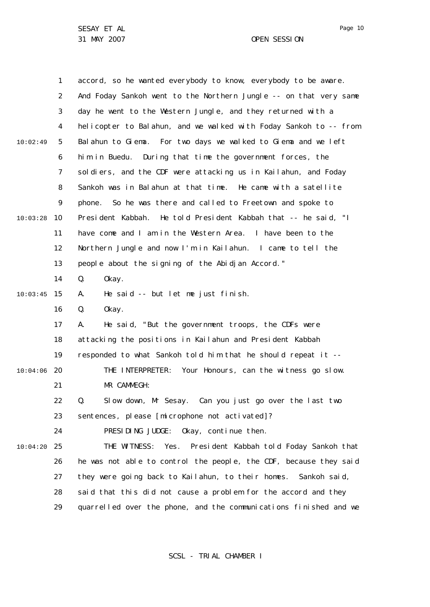|          | $\mathbf{1}$ | accord, so he wanted everybody to know, everybody to be aware.    |
|----------|--------------|-------------------------------------------------------------------|
|          | 2            | And Foday Sankoh went to the Northern Jungle -- on that very same |
|          | 3            | day he went to the Western Jungle, and they returned with a       |
|          | 4            | helicopter to Balahun, and we walked with Foday Sankoh to -- from |
| 10:02:49 | 5            | Balahun to Giema. For two days we walked to Giema and we left     |
|          | 6            | During that time the government forces, the<br>him in Buedu.      |
|          | 7            | soldiers, and the CDF were attacking us in Kailahun, and Foday    |
|          | 8            | Sankoh was in Balahun at that time. He came with a satellite      |
|          | 9            | phone. So he was there and called to Freetown and spoke to        |
| 10:03:28 | 10           | President Kabbah. He told President Kabbah that -- he said, "I    |
|          | 11           | have come and I am in the Western Area. I have been to the        |
|          | 12           | Northern Jungle and now I'm in Kailahun. I came to tell the       |
|          | 13           | people about the signing of the Abidjan Accord."                  |
|          | 14           | Q.<br>0kay.                                                       |
| 10:03:45 | 15           | He said -- but let me just finish.<br>А.                          |
|          | 16           | Q.<br>0kay.                                                       |
|          | 17           | He said, "But the government troops, the CDFs were<br>А.          |
|          | 18           | attacking the positions in Kailahun and President Kabbah          |
|          | 19           | responded to what Sankoh told him that he should repeat it --     |
| 10:04:06 | 20           | THE INTERPRETER:<br>Your Honours, can the witness go slow.        |
|          | 21           | MR CAMMEGH:                                                       |
|          | 22           | Slow down, Mr Sesay. Can you just go over the last two<br>Q.      |
|          | 23           | sentences, please [microphone not activated]?                     |
|          | 24           | PRESIDING JUDGE: Okay, continue then.                             |
| 10:04:20 | 25           | THE WITNESS: Yes. President Kabbah told Foday Sankoh that         |
|          | 26           | he was not able to control the people, the CDF, because they said |
|          | 27           | they were going back to Kailahun, to their homes. Sankoh said,    |
|          | 28           | said that this did not cause a problem for the accord and they    |
|          | 29           | quarrelled over the phone, and the communications finished and we |

SCSL - TRIAL CHAMBER I

Page 10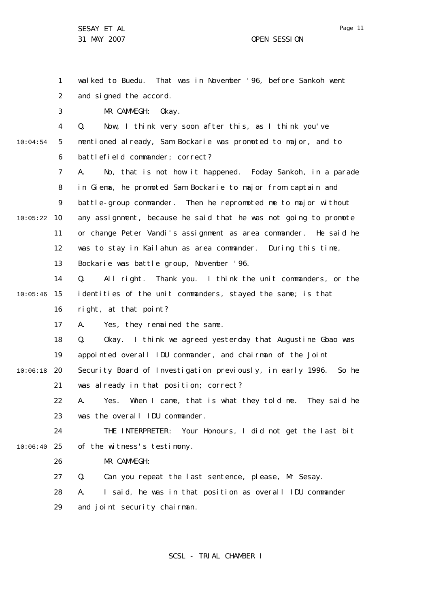1

Page 11

2 3 4 5 6 7 8  $\mathsf{Q}$ 10 10:05:22 11 12 13 14 10:04:54 and signed the accord. MR CAMMEGH: Okay. Q. Now, I think very soon after this, as I think you've mentioned already, Sam Bockarie was promoted to major, and to battlefield commander; correct? A. No, that is not how it happened. Foday Sankoh, in a parade in Giema, he promoted Sam Bockarie to major from captain and battle-group commander. Then he repromoted me to major without any assignment, because he said that he was not going to promote or change Peter Vandi's assignment as area commander. He said he was to stay in Kailahun as area commander. During this time, Bockarie was battle group, November '96. Q. All right. Thank you. I think the unit commanders, or the

wal ked to Buedu. That was in November '96, before Sankoh went

15 10:05:46 16 identities of the unit commanders, stayed the same; is that right, at that point?

> 17 A. Yes, they remained the same.

18 19 Q. Okay. I think we agreed yesterday that Augustine Gbao was appointed overall IDU commander, and chairman of the Joint

20 10:06:18 21 Security Board of Investigation previously, in early 1996. So he was already in that position; correct?

22 23 A. Yes. When I came, that is what they told me. They said he was the overall IDU commander.

 $24$ 25 10:06:40 THE INTERPRETER: Your Honours, I did not get the last bit of the witness's testimony.

> 26 MR CAMMEGH:

27 Q. Can you repeat the last sentence, please, Mr Sesay.

28 29 A. I said, he was in that position as overall IDU commander and joint security chairman.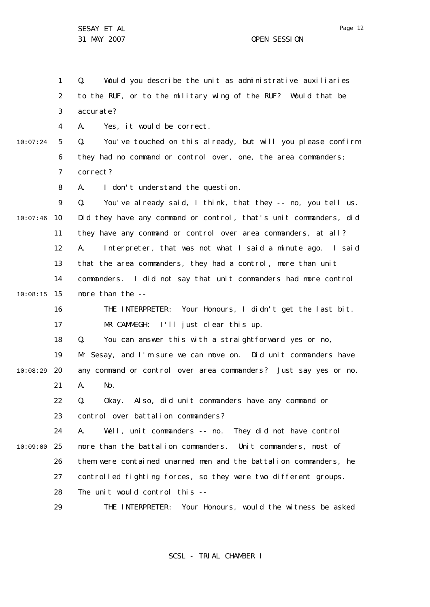Page 12

1 2 3 4 5 6 7 8  $\mathsf{Q}$ 10 10:07:46 11 12 13 14 15 10:08:15 16 17 18 19 20 21 22 23  $24$ 25 10:09:00 26 27 28 29 10:07:24 10:08:29 Q. Would you describe the unit as administrative auxiliaries to the RUF, or to the military wing of the RUF? Would that be accurate? A. Yes, it would be correct. Q. You've touched on this already, but will you please confirm they had no command or control over, one, the area commanders; correct? A. I don't understand the question. Q. You've already said, I think, that they -- no, you tell us. Did they have any command or control, that's unit commanders, did they have any command or control over area commanders, at all? A. Interpreter, that was not what I said a minute ago. I said that the area commanders, they had a control, more than unit commanders. I did not say that unit commanders had more control more than the -- THE INTERPRETER: Your Honours, I didn't get the last bit. MR CAMMEGH: I'll just clear this up. Q. You can answer this with a straightforward yes or no, Mr Sesay, and I'm sure we can move on. Did unit commanders have any command or control over area commanders? Just say yes or no. A. No. Q. Okay. Also, did unit commanders have any command or control over battalion commanders? A. Well, unit commanders -- no. They did not have control more than the battalion commanders. Unit commanders, most of them were contained unarmed men and the battalion commanders, he controlled fighting forces, so they were two different groups. The unit would control this -- THE INTERPRETER: Your Honours, would the witness be asked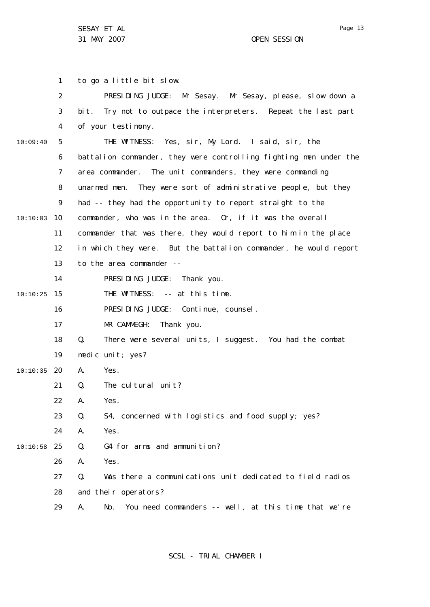1 2 3 4 5 6 7 8  $\mathsf{Q}$ 10 10:10:03 11 12 13 14 15 10:10:25 16 17 18 19 20 10:10:35 21 22 23 24 25 10:10:58 26 27 28 29 10:09:40 to go a little bit slow. PRESIDING JUDGE: Mr Sesay. Mr Sesay, please, slow down a bit. Try not to outpace the interpreters. Repeat the last part of your testimony. THE WITNESS: Yes, sir, My Lord. I said, sir, the battalion commander, they were controlling fighting men under the area commander. The unit commanders, they were commanding unarmed men. They were sort of administrative people, but they had -- they had the opportunity to report straight to the commander, who was in the area. Or, if it was the overall commander that was there, they would report to him in the place in which they were. But the battalion commander, he would report to the area commander -- PRESIDING JUDGE: Thank you. THE WITNESS: -- at this time. PRESIDING JUDGE: Continue, counsel. MR CAMMEGH: Thank you. Q. There were several units, I suggest. You had the combat medic unit; yes? A. Yes. Q. The cultural unit? A. Yes. Q. S4, concerned with logistics and food supply; yes? A. Yes. Q. G4 for arms and ammunition? A. Yes. Q. Was there a communications unit dedicated to field radios and their operators? A. No. You need commanders -- well, at this time that we're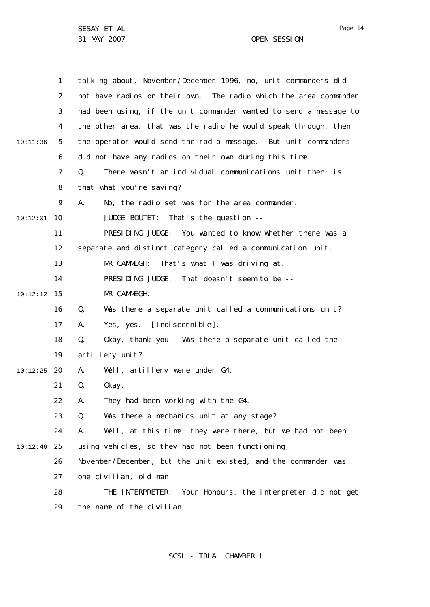1 2 3 4 5 6 7 8  $\mathsf{Q}$ 10 10:12:01 11 12 13 14 15 10:12:12 16 17 18 19 20 10:12:25 21 22 23 24 25 10:12:46 26 27 28 29 10:11:36 talking about, November/December 1996, no, unit commanders did not have radios on their own. The radio which the area commander had been using, if the unit commander wanted to send a message to the other area, that was the radio he would speak through, then the operator would send the radio message. But unit commanders did not have any radios on their own during this time. Q. There wasn't an individual communications unit then; is that what you're saying? A. No, the radio set was for the area commander. JUDGE BOUTET: That's the question -- PRESIDING JUDGE: You wanted to know whether there was a separate and distinct category called a communication unit. MR CAMMEGH: That's what I was driving at. PRESIDING JUDGE: That doesn't seem to be -- MR CAMMEGH: Q. Was there a separate unit called a communications unit? A. Yes, yes. [Indiscernible]. Q. Okay, thank you. Was there a separate unit called the artillery unit? A. Well, artillery were under G4. Q. Okay. A. They had been working with the G4. Q. Was there a mechanics unit at any stage? A. Well, at this time, they were there, but we had not been using vehicles, so they had not been functioning, November/December, but the unit existed, and the commander was one civilian, old man. THE INTERPRETER: Your Honours, the interpreter did not get the name of the civilian.

Page 14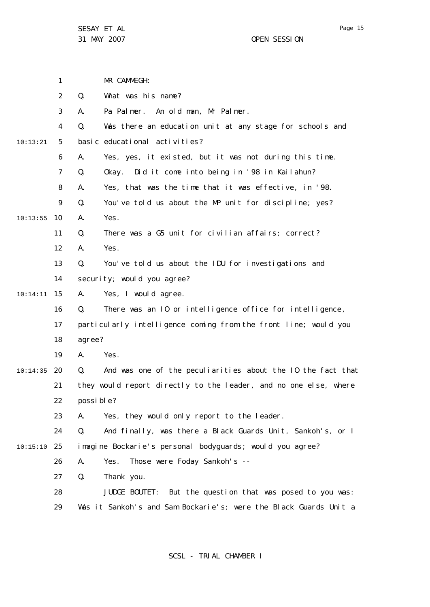|          | 1              | MR CAMMEGH:                                                       |
|----------|----------------|-------------------------------------------------------------------|
|          | 2              | Q.<br>What was his name?                                          |
|          | 3              | Pa Palmer. An old man, Mr Palmer.<br>А.                           |
|          | 4              | Q.<br>Was there an education unit at any stage for schools and    |
| 10:13:21 | 5              | basic educational activities?                                     |
|          | 6              | Yes, yes, it existed, but it was not during this time.<br>Α.      |
|          | $\overline{7}$ | Okay. Did it come into being in '98 in Kailahun?<br>Q.            |
|          | 8              | Yes, that was the time that it was effective, in '98.<br>А.       |
|          | 9              | Q.<br>You've told us about the MP unit for discipline; yes?       |
| 10:13:55 | 10             | Yes.<br>А.                                                        |
|          | 11             | Q.<br>There was a G5 unit for civilian affairs; correct?          |
|          | 12             | Α.<br>Yes.                                                        |
|          | 13             | Q.<br>You've told us about the IDU for investigations and         |
|          | 14             | security; would you agree?                                        |
| 10:14:11 | 15             | Yes, I would agree.<br>А.                                         |
|          | 16             | Q.<br>There was an 10 or intelligence office for intelligence,    |
|          | 17             | particularly intelligence coming from the front line; would you   |
|          | 18             | agree?                                                            |
|          | 19             | Α.<br>Yes.                                                        |
| 10:14:35 | 20             | Q.<br>And was one of the peculiarities about the IO the fact that |
|          | 21             | they would report directly to the leader, and no one else, where  |
|          | 22             | possi ble?                                                        |
|          | 23             | Yes, they would only report to the leader.<br>А.                  |
|          | 24             | And finally, was there a Black Guards Unit, Sankoh's, or I<br>Q.  |
| 10:15:10 | 25             | imagine Bockarie's personal bodyguards; would you agree?          |
|          | 26             | Those were Foday Sankoh's --<br>Α.<br>Yes.                        |
|          | 27             | Q.<br>Thank you.                                                  |
|          | 28             | But the question that was posed to you was:<br>JUDGE BOUTET:      |
|          | 29             | Was it Sankoh's and Sam Bockarie's; were the Black Guards Unit a  |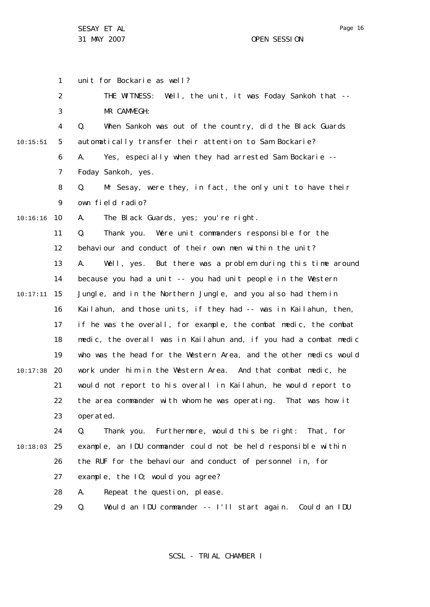Page 16

1 2 3 4 5 6 7 8  $\mathsf{Q}$ 10 10:16:16 11 12 13 14 15 10:17:11 16 17 18 19 20 10:17:38 21 22 23 24 25 10:18:03 26 27 28 29 10:15:51 unit for Bockarie as well? THE WITNESS: Well, the unit, it was Foday Sankoh that -- MR CAMMEGH: Q. When Sankoh was out of the country, did the Black Guards automatically transfer their attention to Sam Bockarie? A. Yes, especially when they had arrested Sam Bockarie -- Foday Sankoh, yes. Q. Mr Sesay, were they, in fact, the only unit to have their own field radio? A. The Black Guards, yes; you're right. Q. Thank you. Were unit commanders responsible for the behaviour and conduct of their own men within the unit? A. Well, yes. But there was a problem during this time around because you had a unit -- you had unit people in the Western Jungle, and in the Northern Jungle, and you also had them in Kailahun, and those units, if they had -- was in Kailahun, then, if he was the overall, for example, the combat medic, the combat medic, the overall was in Kailahun and, if you had a combat medic who was the head for the Western Area, and the other medics would work under him in the Western Area. And that combat medic, he would not report to his overall in Kailahun, he would report to the area commander with whom he was operating. That was how it operated. Q. Thank you. Furthermore, would this be right: That, for example, an IDU commander could not be held responsible within the RUF for the behaviour and conduct of personnel in, for example, the IO; would you agree? A. Repeat the question, please. Q. Would an IDU commander -- I'll start again. Could an IDU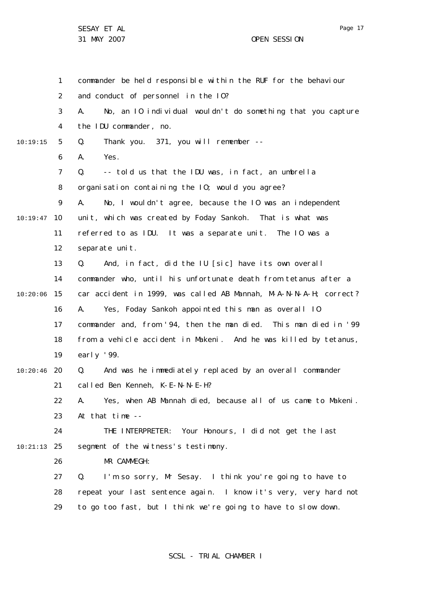|               | 1              | commander be held responsible within the RUF for the behaviour    |
|---------------|----------------|-------------------------------------------------------------------|
|               | $\overline{2}$ | and conduct of personnel in the 10?                               |
|               | 3              | No, an 10 individual wouldn't do something that you capture<br>А. |
|               | 4              | the IDU commander, no.                                            |
| 10:19:15      | 5              | Thank you. 371, you will remember --<br>Q.                        |
|               | 6              | Yes.<br>А.                                                        |
|               | $\overline{7}$ | -- told us that the IDU was, in fact, an umbrella<br>Q.           |
|               | 8              | organisation containing the 10; would you agree?                  |
|               | 9              | No, I wouldn't agree, because the IO was an independent<br>А.     |
| 10:19:47      | 10             | unit, which was created by Foday Sankoh. That is what was         |
|               | 11             | referred to as IDU. It was a separate unit. The IO was a          |
|               | 12             | separate unit.                                                    |
|               | 13             | And, in fact, did the IU [sic] have its own overall<br>Q.         |
|               | 14             | commander who, until his unfortunate death from tetanus after a   |
| 10:20:06      | 15             | car accident in 1999, was called AB Mannah, M-A-N-N-A-H; correct? |
|               | 16             | Yes, Foday Sankoh appointed this man as overall 10<br>А.          |
|               | 17             | commander and, from '94, then the man died. This man died in '99  |
|               | 18             | from a vehicle accident in Makeni. And he was killed by tetanus,  |
|               | 19             | early $'99$ .                                                     |
| 10:20:46      | 20             | And was he immediately replaced by an overall commander<br>Q.     |
|               | 21             | called Ben Kenneh, K-E-N-N-E-H?                                   |
|               | 22             | A. Yes, when AB Mannah died, because all of us came to Makeni.    |
|               | 23             | At that time --                                                   |
|               | 24             | THE INTERPRETER: Your Honours, I did not get the last             |
| $10:21:13$ 25 |                | segment of the witness's testimony.                               |
|               | 26             | MR CAMMEGH:                                                       |
|               | 27             | I'm so sorry, Mr Sesay. I think you're going to have to<br>Q.     |
|               | 28             | repeat your last sentence again. I know it's very, very hard not  |
|               | 29             | to go too fast, but I think we're going to have to slow down.     |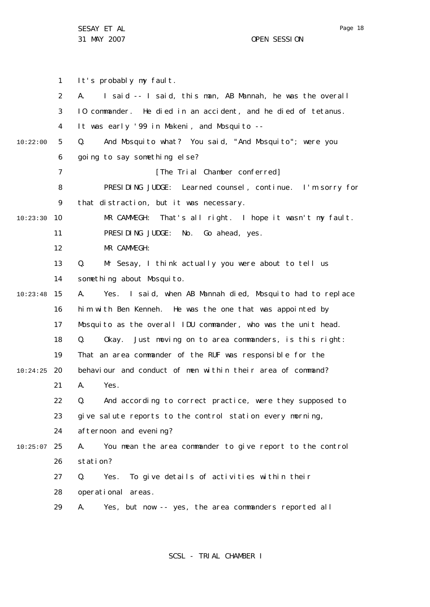31 MAY 2007 OPEN SESSION

1 2 3 4 5 6 7 8  $\mathsf{Q}$ 10 10:23:30 11 12 13 14 15 10:23:48 16 17 18 19 20 10:24:25 21 22 23 24 25 10:25:07 26 27 28 29 10:22:00 It's probably my fault. A. I said -- I said, this man, AB Mannah, he was the overall IO commander. He died in an accident, and he died of tetanus. It was early '99 in Makeni, and Mosquito -- Q. And Mosquito what? You said, "And Mosquito"; were you going to say something else? [The Trial Chamber conferred] PRESIDING JUDGE: Learned counsel, continue. I'm sorry for that distraction, but it was necessary. MR CAMMEGH: That's all right. I hope it wasn't my fault. PRESIDING JUDGE: No. Go ahead, yes. MR CAMMEGH: Q. Mr Sesay, I think actually you were about to tell us something about Mosquito. A. Yes. I said, when AB Mannah died, Mosquito had to replace him with Ben Kenneh. He was the one that was appointed by Mosquito as the overall IDU commander, who was the unit head. Q. Okay. Just moving on to area commanders, is this right: That an area commander of the RUF was responsible for the behaviour and conduct of men within their area of command? A. Yes. Q. And according to correct practice, were they supposed to give salute reports to the control station every morning, afternoon and evening? A. You mean the area commander to give report to the control station? Q. Yes. To give details of activities within their operational areas. A. Yes, but now -- yes, the area commanders reported all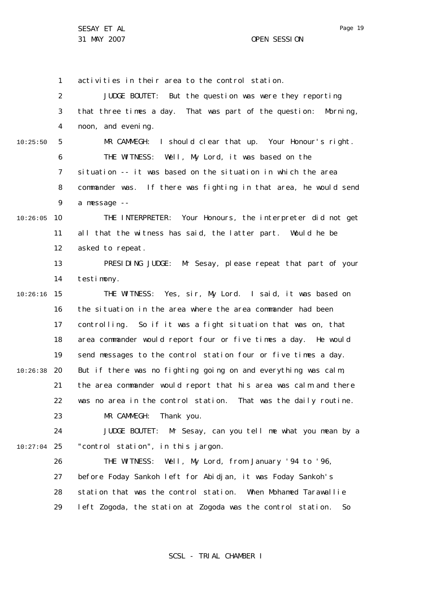Page 19

1 2 3 4 5 6 7 8  $\mathsf{Q}$ 10 10:26:05 11 12 13 14 15 10:26:16 16 17 18 19 20 10:26:38 21 22 23 24 25 10:27:04 26 27 28 29 10:25:50 activities in their area to the control station. JUDGE BOUTET: But the question was were they reporting that three times a day. That was part of the question: Morning, noon, and evening. MR CAMMEGH: I should clear that up. Your Honour's right. THE WITNESS: Well, My Lord, it was based on the situation -- it was based on the situation in which the area commander was. If there was fighting in that area, he would send a message -- THE INTERPRETER: Your Honours, the interpreter did not get all that the witness has said, the latter part. Would he be asked to repeat. PRESIDING JUDGE: Mr Sesay, please repeat that part of your testimony. THE WITNESS: Yes, sir, My Lord. I said, it was based on the situation in the area where the area commander had been controlling. So if it was a fight situation that was on, that area commander would report four or five times a day. He would send messages to the control station four or five times a day. But if there was no fighting going on and everything was calm, the area commander would report that his area was calm and there was no area in the control station. That was the daily routine. MR CAMMEGH: Thank you. JUDGE BOUTET: Mr Sesay, can you tell me what you mean by a "control station", in this jargon. THE WITNESS: Well, My Lord, from January '94 to '96, before Foday Sankoh left for Abidjan, it was Foday Sankoh's station that was the control station. When Mohamed Tarawallie left Zogoda, the station at Zogoda was the control station. So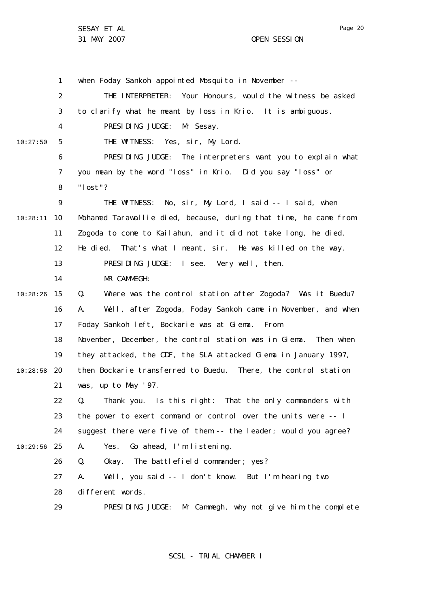1 2 3 4 5 6 7 8  $\mathsf{Q}$ 10 10:28:11 11 12 13 14 15 10:28:26 16 17 18 19 20 10:28:58 21 22 23 24 25 10:29:56 26 27 28 29 10:27:50 when Foday Sankoh appointed Mosquito in November --THE INTERPRETER: Your Honours, would the witness be asked to clarify what he meant by loss in Krio. It is ambiguous. PRESIDING JUDGE: Mr Sesay. THE WITNESS: Yes, sir, My Lord. PRESIDING JUDGE: The interpreters want you to explain what you mean by the word "loss" in Krio. Did you say "loss" or "lost"? THE WITNESS: No, sir, My Lord, I said -- I said, when Mohamed Tarawallie died, because, during that time, he came from Zogoda to come to Kailahun, and it did not take long, he died. He died. That's what I meant, sir. He was killed on the way. PRESIDING JUDGE: I see. Very well, then. MR CAMMEGH: Q. Where was the control station after Zogoda? Was it Buedu? A. Well, after Zogoda, Foday Sankoh came in November, and when Foday Sankoh left, Bockarie was at Giema. From November, December, the control station was in Giema. Then when they attacked, the CDF, the SLA attacked Giema in January 1997, then Bockarie transferred to Buedu. There, the control station was, up to May '97. Q. Thank you. Is this right: That the only commanders with the power to exert command or control over the units were -- I suggest there were five of them -- the leader; would you agree? A. Yes. Go ahead, I'm listening. Q. Okay. The battlefield commander; yes? A. Well, you said -- I don't know. But I'm hearing two different words. PRESIDING JUDGE: Mr Cammegh, why not give him the complete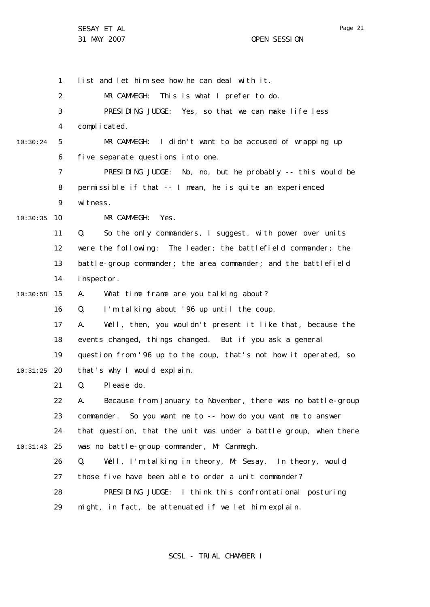1

2 3 4 5 6 7 8  $\mathsf{Q}$ 10 10:30:35 11 12 13 14 15 10:30:58 16 17 18 19 20 10:31:25 21 22 23 24 25 10:31:43 26 27 28 29 10:30:24 MR CAMMEGH: This is what I prefer to do. PRESIDING JUDGE: Yes, so that we can make life less complicated. MR CAMMEGH: I didn't want to be accused of wrapping up five separate questions into one. PRESIDING JUDGE: No, no, but he probably -- this would be permissible if that -- I mean, he is quite an experienced witness. MR CAMMEGH: Yes. Q. So the only commanders, I suggest, with power over units were the following: The leader; the battlefield commander; the battle-group commander; the area commander; and the battlefield inspector. A. What time frame are you talking about? Q. I'm talking about '96 up until the coup. A. Well, then, you wouldn't present it like that, because the events changed, things changed. But if you ask a general question from '96 up to the coup, that's not how it operated, so that's why I would explain. Q. Please do. A. Because from January to November, there was no battle-group commander. So you want me to -- how do you want me to answer that question, that the unit was under a battle group, when there was no battle-group commander, Mr Cammegh. Q. Well, I'm talking in theory, Mr Sesay. In theory, would those five have been able to order a unit commander? PRESIDING JUDGE: I think this confrontational posturing might, in fact, be attenuated if we let him explain.

list and let him see how he can deal with it.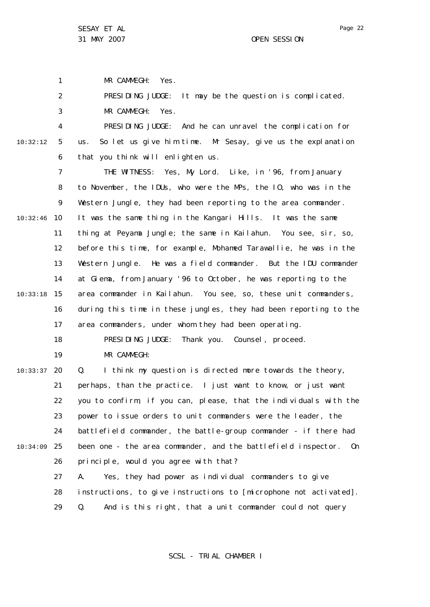1

MR CAMMEGH: Yes.

2 PRESIDING JUDGE: It may be the question is complicated.

3 MR CAMMEGH: Yes.

4 5 6 10:32:12 PRESIDING JUDGE: And he can unravel the complication for us. So let us give him time. Mr Sesay, give us the explanation that you think will enlighten us.

7 8  $\mathsf{Q}$ 10 10:32:46 11 12 13 14 15 10:33:18 16 17 18 19 THE WITNESS: Yes, My Lord. Like, in '96, from January to November, the IDUs, who were the MPs, the IO, who was in the Western Jungle, they had been reporting to the area commander. It was the same thing in the Kangari Hills. It was the same thing at Peyama Jungle; the same in Kailahun. You see, sir, so, before this time, for example, Mohamed Tarawallie, he was in the Western Jungle. He was a field commander. But the IDU commander at Giema, from January '96 to October, he was reporting to the area commander in Kailahun. You see, so, these unit commanders, during this time in these jungles, they had been reporting to the area commanders, under whom they had been operating. PRESIDING JUDGE: Thank you. Counsel, proceed. MR CAMMEGH:

20 10:33:37 21 22 23 24 25 10:34:09 26 27 Q. I think my question is directed more towards the theory, perhaps, than the practice. I just want to know, or just want you to confirm, if you can, please, that the individuals with the power to issue orders to unit commanders were the leader, the battlefield commander, the battle-group commander - if there had been one - the area commander, and the battlefield inspector. On principle, would you agree with that? A. Yes, they had power as individual commanders to give

> 28 instructions, to give instructions to [microphone not activated].

29 Q. And is this right, that a unit commander could not query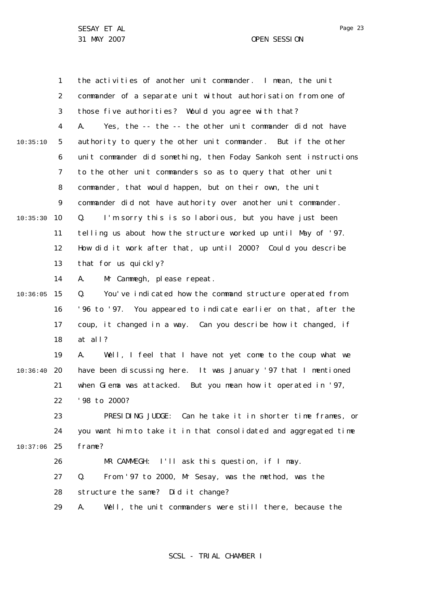1 2 3 4 5 6 7 8  $\mathsf{Q}$ 10 10:35:30 11 12 13 14 15 10:36:05 16 17 18 19 20 10:36:40 21 22 23 24 25 10:37:06 26 27 28 29 10:35:10 the activities of another unit commander. I mean, the unit commander of a separate unit without authorisation from one of those five authorities? Would you agree with that? A. Yes, the -- the -- the other unit commander did not have authority to query the other unit commander. But if the other unit commander did something, then Foday Sankoh sent instructions to the other unit commanders so as to query that other unit commander, that would happen, but on their own, the unit commander did not have authority over another unit commander. Q. I'm sorry this is so laborious, but you have just been telling us about how the structure worked up until May of '97. How did it work after that, up until 2000? Could you describe that for us quickly? A. Mr Cammegh, please repeat. Q. You've indicated how the command structure operated from '96 to '97. You appeared to indicate earlier on that, after the coup, it changed in a way. Can you describe how it changed, if at all? A. Well, I feel that I have not yet come to the coup what we have been discussing here. It was January '97 that I mentioned when Giema was attacked. But you mean how it operated in '97, '98 to 2000? PRESIDING JUDGE: Can he take it in shorter time frames, or you want him to take it in that consolidated and aggregated time frame? MR CAMMEGH: I'll ask this question, if I may. Q. From '97 to 2000, Mr Sesay, was the method, was the structure the same? Did it change? A. Well, the unit commanders were still there, because the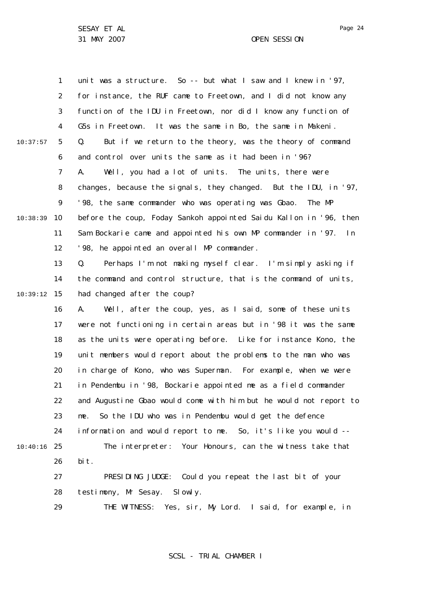1 2 3 4 5 6 7 8  $\mathsf{Q}$ 10 10:38:39 11 12 13 14 15 10:39:12 16 17 18 19 20 21 22 23 24 25 10:40:16 26 27 28 29 10:37:57 unit was a structure. So -- but what I saw and I knew in '97, for instance, the RUF came to Freetown, and I did not know any function of the IDU in Freetown, nor did I know any function of G5s in Freetown. It was the same in Bo, the same in Makeni. Q. But if we return to the theory, was the theory of command and control over units the same as it had been in '96? A. Well, you had a lot of units. The units, there were changes, because the signals, they changed. But the IDU, in '97, '98, the same commander who was operating was Gbao. The MP before the coup, Foday Sankoh appointed Saidu Kallon in '96, then Sam Bockarie came and appointed his own MP commander in '97. In '98, he appointed an overall MP commander. Q. Perhaps I'm not making myself clear. I'm simply asking if the command and control structure, that is the command of units, had changed after the coup? A. Well, after the coup, yes, as I said, some of these units were not functioning in certain areas but in '98 it was the same as the units were operating before. Like for instance Kono, the unit members would report about the problems to the man who was in charge of Kono, who was Superman. For example, when we were in Pendembu in '98, Bockarie appointed me as a field commander and Augustine Gbao would come with him but he would not report to me. So the IDU who was in Pendembu would get the defence information and would report to me. So, it's like you would -- The interpreter: Your Honours, can the witness take that bit. PRESIDING JUDGE: Could you repeat the last bit of your testimony, Mr Sesay. Slowly. THE WITNESS: Yes, sir, My Lord. I said, for example, in

SCSL - TRIAL CHAMBER I

Page 24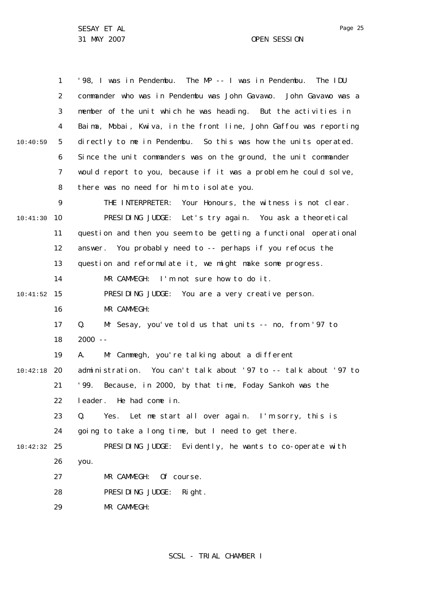31 MAY 2007 OPEN SESSION

1 2 3 4 5 6 7 8  $\mathsf{Q}$ 10 10:41:30 11 12 13 14 15 10:41:52 16 17 18 19 20 10:42:18 21 22 23 24 25 10:42:32 26 27 28 29 10:40:59 '98, I was in Pendembu. The MP -- I was in Pendembu. The IDU commander who was in Pendembu was John Gavawo. John Gavawo was a member of the unit which he was heading. But the activities in Baima, Mobai, Kwiva, in the front line, John Gaffou was reporting directly to me in Pendembu. So this was how the units operated. Since the unit commanders was on the ground, the unit commander would report to you, because if it was a problem he could solve, there was no need for him to isolate you. THE INTERPRETER: Your Honours, the witness is not clear. PRESIDING JUDGE: Let's try again. You ask a theoretical question and then you seem to be getting a functional operational answer. You probably need to -- perhaps if you refocus the question and reformulate it, we might make some progress. MR CAMMEGH: I'm not sure how to do it. PRESIDING JUDGE: You are a very creative person. MR CAMMEGH: Q. Mr Sesay, you've told us that units -- no, from '97 to 2000 -- A. Mr Cammegh, you're talking about a different administration. You can't talk about '97 to -- talk about '97 to '99. Because, in 2000, by that time, Foday Sankoh was the leader. He had come in. Q. Yes. Let me start all over again. I'm sorry, this is going to take a long time, but I need to get there. PRESIDING JUDGE: Evidently, he wants to co-operate with you. MR CAMMEGH: Of course. PRESIDING JUDGE: Right. MR CAMMEGH:

SCSL - TRIAL CHAMBER I

Page 25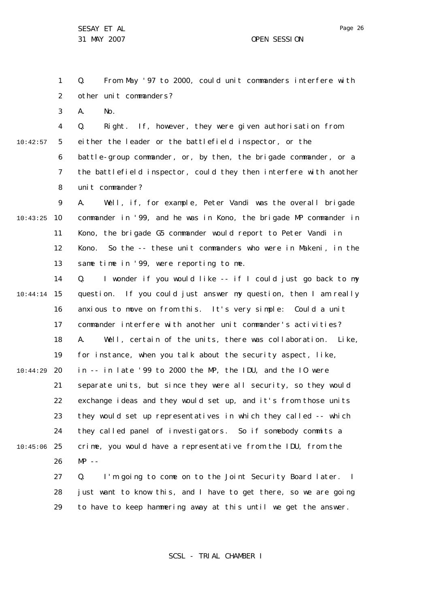1 2 Q. From May '97 to 2000, could unit commanders interfere with other unit commanders?

3 A. No.

4 5 6 7 8 10:42:57 Q. Right. If, however, they were given authorisation from either the leader or the battlefield inspector, or the battle-group commander, or, by then, the brigade commander, or a the battlefield inspector, could they then interfere with another unit commander?

 $\mathsf{Q}$ 10 10:43:25 11 12 13 A. Well, if, for example, Peter Vandi was the overall brigade commander in '99, and he was in Kono, the brigade MP commander in Kono, the brigade G5 commander would report to Peter Vandi in Kono. So the -- these unit commanders who were in Makeni, in the same time in '99, were reporting to me.

14 15 10:44:14 16 17 18 19 20 21 22 23 24 25 10:45:06 26 27 10:44:29 Q. I wonder if you would like -- if I could just go back to my question. If you could just answer my question, then I am really anxious to move on from this. It's very simple: Could a unit commander interfere with another unit commander's activities? A. Well, certain of the units, there was collaboration. Like, for instance, when you talk about the security aspect, like, in -- in late '99 to 2000 the MP, the IDU, and the IO were separate units, but since they were all security, so they would exchange ideas and they would set up, and it's from those units they would set up representatives in which they called -- which they called panel of investigators. So if somebody commits a crime, you would have a representative from the IDU, from the  $MP - -$ 

28 29 Q. I'm going to come on to the Joint Security Board later. I just want to know this, and I have to get there, so we are going to have to keep hammering away at this until we get the answer.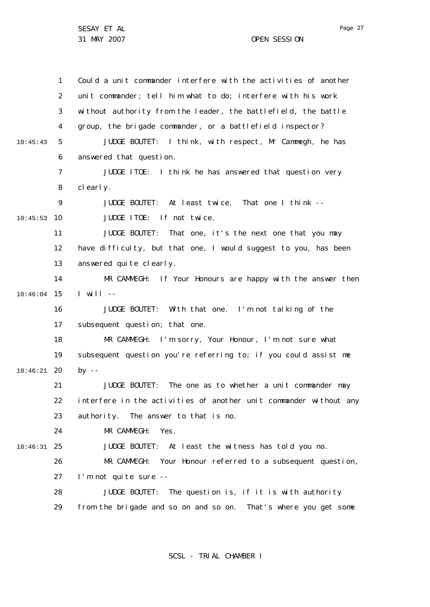1 2 3 4 5 6 7 8  $\mathsf{Q}$ 10 10:45:53 11 12 13 14 15 10:46:04 16 17 18 19 20 10:46:21 21 22 23  $24$ 25 10:46:31 26 27 28 29 10:45:43 Could a unit commander interfere with the activities of another unit commander; tell him what to do; interfere with his work without authority from the leader, the battlefield, the battle group, the brigade commander, or a battlefield inspector? JUDGE BOUTET: I think, with respect, Mr Cammegh, he has answered that question. JUDGE ITOE: I think he has answered that question very clearly. JUDGE BOUTET: At least twice. That one I think -- JUDGE ITOE: If not twice. JUDGE BOUTET: That one, it's the next one that you may have difficulty, but that one, I would suggest to you, has been answered quite clearly. MR CAMMEGH: If Your Honours are happy with the answer then  $I$  will  $-$ JUDGE BOUTET: With that one. I'm not talking of the subsequent question; that one. MR CAMMEGH: I'm sorry, Your Honour, I'm not sure what subsequent question you're referring to; if you could assist me by  $-$ JUDGE BOUTET: The one as to whether a unit commander may interfere in the activities of another unit commander without any authority. The answer to that is no. MR CAMMEGH: Yes. JUDGE BOUTET: At least the witness has told you no. MR CAMMEGH: Your Honour referred to a subsequent question, I'm not quite sure -- JUDGE BOUTET: The question is, if it is with authority from the brigade and so on and so on. That's where you get some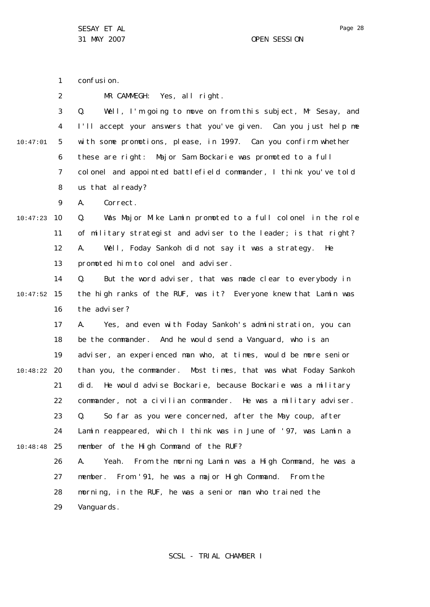confusion.

1

2 3 4 5 6 7 8  $\mathsf{Q}$ 10 10:47:23 11 12 13 14 15 10:47:52 16 17 18 19 20 10:48:22 21 22 23 24 25 10:48:48 26 27 28 29 10:47:01 MR CAMMEGH: Yes, all right. Q. Well, I'm going to move on from this subject, Mr Sesay, and I'll accept your answers that you've given. Can you just help me with some promotions, please, in 1997. Can you confirm whether these are right: Major Sam Bockarie was promoted to a full colonel and appointed battlefield commander, I think you've told us that al ready? A. Correct. Q. Was Major Mike Lamin promoted to a full colonel in the role of military strategist and adviser to the leader; is that right? A. Well, Foday Sankoh did not say it was a strategy. He promoted him to colonel and adviser. Q. But the word adviser, that was made clear to everybody in the high ranks of the RUF, was it? Everyone knew that Lamin was the adviser? A. Yes, and even with Foday Sankoh's administration, you can be the commander. And he would send a Vanguard, who is an adviser, an experienced man who, at times, would be more senior than you, the commander. Most times, that was what Foday Sankoh did. He would advise Bockarie, because Bockarie was a military commander, not a civilian commander. He was a military adviser. Q. So far as you were concerned, after the May coup, after Lamin reappeared, which I think was in June of '97, was Lamin a member of the High Command of the RUF? A. Yeah. From the morning Lamin was a High Command, he was a member. From '91, he was a major High Command. From the morning, in the RUF, he was a senior man who trained the Vanguards.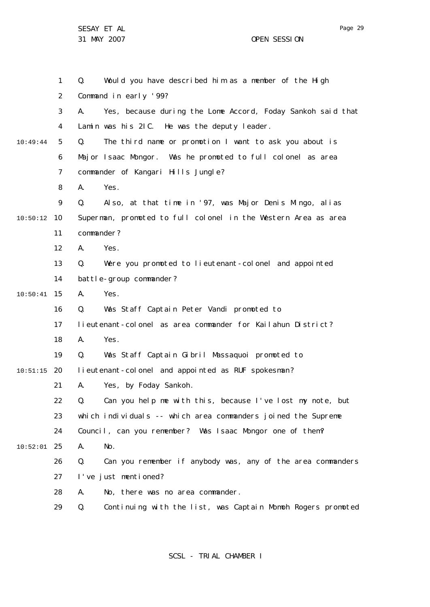|          | $\mathbf{1}$   | Q.         | Would you have described him as a member of the High           |
|----------|----------------|------------|----------------------------------------------------------------|
|          | $\overline{2}$ |            | Command in early '99?                                          |
|          | 3              | А.         | Yes, because during the Lome Accord, Foday Sankoh said that    |
|          | 4              |            | Lamin was his 21C. He was the deputy leader.                   |
| 10:49:44 | 5              | Q.         | The third name or promotion I want to ask you about is         |
|          | 6              |            | Major Isaac Mongor. Was he promoted to full colonel as area    |
|          | $\overline{7}$ |            | commander of Kangari Hills Jungle?                             |
|          | 8              | А.         | Yes.                                                           |
|          | 9              | Q.         | Also, at that time in '97, was Major Denis Mingo, alias        |
| 10:50:12 | 10             |            | Superman, promoted to full colonel in the Western Area as area |
|          | 11             | commander? |                                                                |
|          | 12             | А.         | Yes.                                                           |
|          | 13             | Q.         | Were you promoted to lieutenant-colonel and appointed          |
|          | 14             |            | battle-group commander?                                        |
| 10:50:41 | 15             | А.         | Yes.                                                           |
|          | 16             | Q.         | Was Staff Captain Peter Vandi promoted to                      |
|          | 17             |            | lieutenant-colonel as area commander for Kailahun District?    |
|          | 18             | А.         | Yes.                                                           |
|          | 19             | Q.         | Was Staff Captain Gibril Massaquoi promoted to                 |
| 10:51:15 | 20             |            | I i eutenant-col onel and appointed as RUF spokesman?          |
|          | 21             | А.         | Yes, by Foday Sankoh.                                          |
|          | 22             | Q.         | Can you help me with this, because I've lost my note, but      |
|          | 23             |            | which individuals -- which area commanders joined the Supreme  |
|          | 24             |            | Council, can you remember? Was Isaac Mongor one of them?       |
| 10:52:01 | 25             | Α.         | No.                                                            |
|          | 26             | Q.         | Can you remember if anybody was, any of the area commanders    |
|          | 27             |            | I've just mentioned?                                           |
|          | 28             | А.         | No, there was no area commander.                               |
|          | 29             | Q.         | Continuing with the list, was Captain Momoh Rogers promoted    |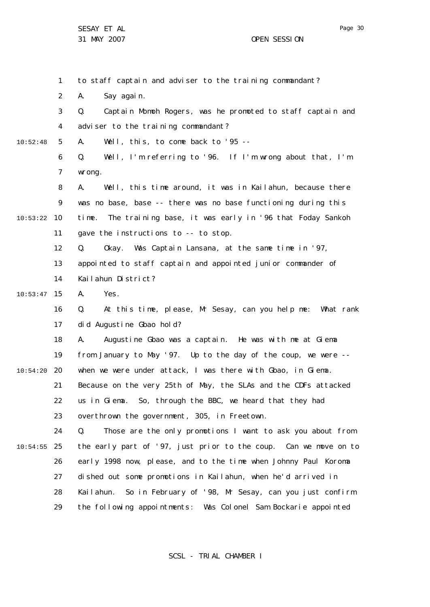1 2 3 4 5 6 7 8  $\mathsf{Q}$ 10 10:53:22 11 12 13 14 15 10:53:47 16 17 18 19 20 10:54:20 21 22 23 24 25 10:54:55 26 27 28 29 10:52:48 to staff captain and adviser to the training commandant? A. Say again. Q. Captain Momoh Rogers, was he promoted to staff captain and adviser to the training commandant? A. Well, this, to come back to '95 -- Q. Well, I'm referring to '96. If I'm wrong about that, I'm wrong. A. Well, this time around, it was in Kailahun, because there was no base, base -- there was no base functioning during this time. The training base, it was early in '96 that Foday Sankoh gave the instructions to -- to stop. Q. Okay. Was Captain Lansana, at the same time in '97, appointed to staff captain and appointed junior commander of Kailahun District? A. Yes. Q. At this time, please, Mr Sesay, can you help me: What rank did Augustine Gbao hold? A. Augustine Gbao was a captain. He was with me at Giema from January to May '97. Up to the day of the coup, we were - when we were under attack, I was there with Gbao, in Giema. Because on the very 25th of May, the SLAs and the CDFs attacked us in Giema. So, through the BBC, we heard that they had overthrown the government, 305, in Freetown. Q. Those are the only promotions I want to ask you about from the early part of '97, just prior to the coup. Can we move on to early 1998 now, please, and to the time when Johnny Paul Koroma dished out some promotions in Kailahun, when he'd arrived in Kailahun. So in February of '98, Mr Sesay, can you just confirm the following appointments: Was Colonel Sam Bockarie appointed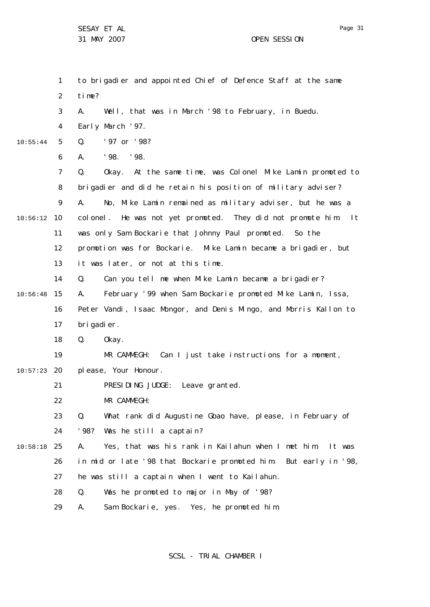|          | 1              | to brigadier and appointed Chief of Defence Staff at the same            |
|----------|----------------|--------------------------------------------------------------------------|
|          | $\overline{2}$ | time?                                                                    |
|          | 3              | Well, that was in March '98 to February, in Buedu.<br>А.                 |
|          | 4              | Early March '97.                                                         |
| 10:55:44 | 5              | Q.<br>'97 or '98?                                                        |
|          | 6              | '98. '98.<br>Α.                                                          |
|          | $\overline{7}$ | Okay. At the same time, was Colonel Mike Lamin promoted to<br>Q.         |
|          | 8              | brigadier and did he retain his position of military adviser?            |
|          | 9              | Α.<br>No, Mike Lamin remained as military adviser, but he was a          |
| 10:56:12 | 10             | colonel. He was not yet promoted. They did not promote him.<br>$\vert$ t |
|          | 11             | was only Sam Bockarie that Johnny Paul promoted. So the                  |
|          | 12             | promotion was for Bockarie. Mike Lamin became a brigadier, but           |
|          | 13             | it was later, or not at this time.                                       |
|          | 14             | Q.<br>Can you tell me when Mike Lamin became a brigadier?                |
| 10:56:48 | 15             | February '99 when Sam Bockarie promoted Mike Lamin, Issa,<br>А.          |
|          | 16             | Peter Vandi, Isaac Mongor, and Denis Mingo, and Morris Kallon to         |
|          | 17             | brigadier.                                                               |
|          | 18             | Q.<br>0kay.                                                              |
|          | 19             | MR CAMMEGH: Can I just take instructions for a moment,                   |
| 10:57:23 | 20             | please, Your Honour.                                                     |
|          | 21             | PRESIDING JUDGE: Leave granted.                                          |
|          | 22             | MR CAMMEGH:                                                              |
|          | 23             | Q.<br>What rank did Augustine Gbao have, please, in February of          |
|          | 24             | '98?<br>Was he still a captain?                                          |
| 10:58:18 | 25             | А.<br>Yes, that was his rank in Kailahun when I met him.<br>It was       |
|          | 26             | in mid or late '98 that Bockarie promoted him.<br>But early in '98,      |
|          | 27             | he was still a captain when I went to Kailahun.                          |
|          | 28             | Q.<br>Was he promoted to major in May of '98?                            |
|          | 29             | Sam Bockarie, yes. Yes, he promoted him.<br>Α.                           |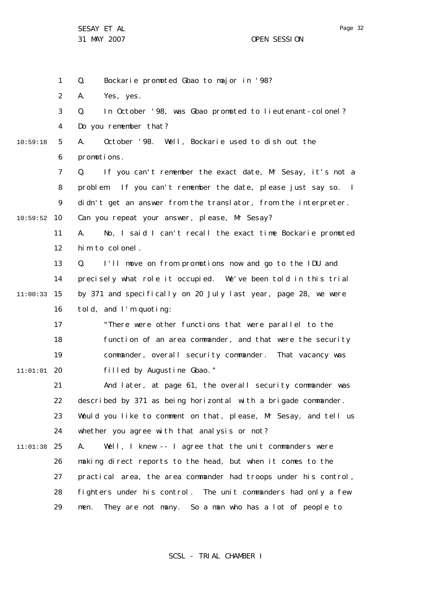31 MAY 2007 OPEN SESSION

1 2 3 4 5 6 7 8  $\mathsf{Q}$ 10 10:59:52 11 12 13 14 15 11:00:33 16 17 18 19 20 11:01:01 21 22 23 24 25 11:01:38 26 27 28 29 10:59:18 Q. Bockarie promoted Gbao to major in '98? A. Yes, yes. Q. In October '98, was Gbao promoted to lieutenant-colonel? Do you remember that? A. October '98. Well, Bockarie used to dish out the promotions. Q. If you can't remember the exact date, Mr Sesay, it's not a problem. If you can't remember the date, please just say so. I didn't get an answer from the translator, from the interpreter. Can you repeat your answer, please, Mr Sesay? A. No, I said I can't recall the exact time Bockarie promoted him to colonel. Q. I'll move on from promotions now and go to the IDU and precisely what role it occupied. We've been told in this trial by 371 and specifically on 20 July last year, page 28, we were told, and I'm quoting: "There were other functions that were parallel to the function of an area commander, and that were the security commander, overall security commander. That vacancy was filled by Augustine Gbao." And later, at page 61, the overall security commander was described by 371 as being horizontal with a brigade commander. Would you like to comment on that, please, Mr Sesay, and tell us whether you agree with that analysis or not? A. Well, I knew -- I agree that the unit commanders were making direct reports to the head, but when it comes to the practical area, the area commander had troops under his control, fighters under his control. The unit commanders had only a few men. They are not many. So a man who has a lot of people to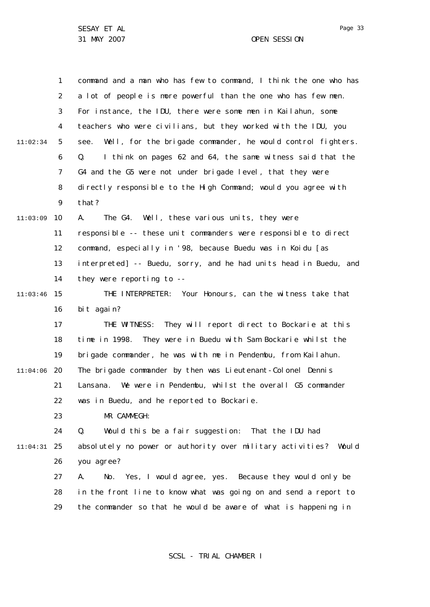|          | 1  | command and a man who has few to command, I think the one who has   |
|----------|----|---------------------------------------------------------------------|
|          | 2  | a lot of people is more powerful than the one who has few men.      |
|          | 3  | For instance, the IDU, there were some men in Kailahun, some        |
|          | 4  | teachers who were civilians, but they worked with the IDU, you      |
| 11:02:34 | 5  | Well, for the brigade commander, he would control fighters.<br>see. |
|          | 6  | I think on pages 62 and 64, the same witness said that the<br>Q.    |
|          | 7  | G4 and the G5 were not under brigade level, that they were          |
|          | 8  | di rectly responsible to the High Command; would you agree with     |
|          | 9  | that?                                                               |
| 11:03:09 | 10 | А.<br>The G4. Well, these various units, they were                  |
|          | 11 | responsible -- these unit commanders were responsible to direct     |
|          | 12 | command, especially in '98, because Buedu was in Koidu [as          |
|          | 13 | interpreted] -- Buedu, sorry, and he had units head in Buedu, and   |
|          | 14 | they were reporting to --                                           |
| 11:03:46 | 15 | THE INTERPRETER: Your Honours, can the witness take that            |
|          | 16 | bit again?                                                          |
|          | 17 | THE WITNESS: They will report direct to Bockarie at this            |
|          | 18 | time in 1998. They were in Buedu with Sam Bockarie whilst the       |
|          | 19 | brigade commander, he was with me in Pendembu, from Kailahun.       |
| 11:04:06 | 20 | The brigade commander by then was Lieutenant-Colonel Dennis         |
|          | 21 | We were in Pendembu, whilst the overall G5 commander<br>Lansana.    |
|          | 22 | was in Buedu, and he reported to Bockarie.                          |
|          | 23 | MR CAMMEGH:                                                         |
|          | 24 | Q.<br>Would this be a fair suggestion: That the IDU had             |
| 11:04:31 | 25 | absolutely no power or authority over military activities? Would    |
|          | 26 | you agree?                                                          |
|          | 27 | No. Yes, I would agree, yes. Because they would only be<br>А.       |
|          | 28 | in the front line to know what was going on and send a report to    |
|          | 29 | the commander so that he would be aware of what is happening in     |
|          |    |                                                                     |

SCSL - TRIAL CHAMBER I

Page 33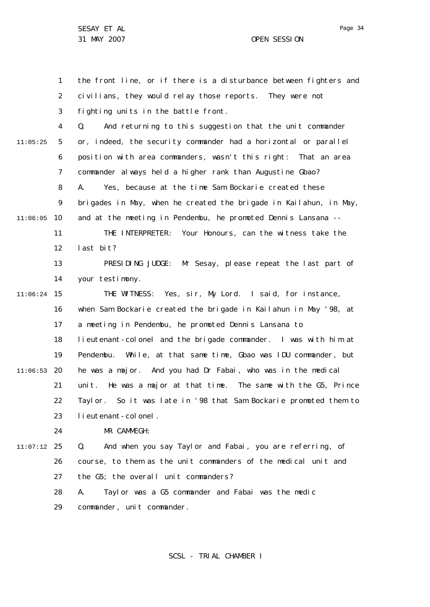Page 34

1 2 3 4 5 6 7 8  $\mathsf{Q}$ 10 11:06:05 11 12 13 14 15 11:06:24 16 17 18 19 20 11:06:53 21 22 23  $24$ 25 11:07:12 26 27 28 29 11:05:25 the front line, or if there is a disturbance between fighters and civilians, they would relay those reports. They were not fighting units in the battle front. Q. And returning to this suggestion that the unit commander or, indeed, the security commander had a horizontal or parallel position with area commanders, wasn't this right: That an area commander always held a higher rank than Augustine Gbao? A. Yes, because at the time Sam Bockarie created these brigades in May, when he created the brigade in Kailahun, in May, and at the meeting in Pendembu, he promoted Dennis Lansana -- THE INTERPRETER: Your Honours, can the witness take the last bit? PRESIDING JUDGE: Mr Sesay, please repeat the last part of your testimony. THE WITNESS: Yes, sir, My Lord. I said, for instance, when Sam Bockarie created the brigade in Kailahun in May '98, at a meeting in Pendembu, he promoted Dennis Lansana to lieutenant-colonel and the brigade commander. I was with him at Pendembu. While, at that same time, Gbao was IDU commander, but he was a major. And you had Dr Fabai, who was in the medical unit. He was a major at that time. The same with the G5, Prince Taylor. So it was late in '98 that Sam Bockarie promoted them to lieutenant-colonel. MR CAMMEGH: Q. And when you say Taylor and Fabai, you are referring, of course, to them as the unit commanders of the medical unit and the G5; the overall unit commanders? A. Taylor was a G5 commander and Fabai was the medic commander, unit commander.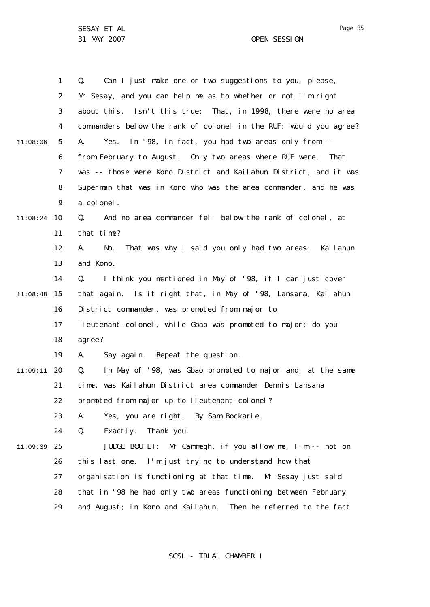|          | $\mathbf{1}$ | Can I just make one or two suggestions to you, please,<br>Q.      |
|----------|--------------|-------------------------------------------------------------------|
|          | 2            | Mr Sesay, and you can help me as to whether or not I'm right      |
|          | 3            | about this. Isn't this true: That, in 1998, there were no area    |
|          | 4            | commanders below the rank of colonel in the RUF; would you agree? |
| 11:08:06 | 5            | Yes. In '98, in fact, you had two areas only from --<br>А.        |
|          | 6            | from February to August. Only two areas where RUF were. That      |
|          | 7            | was -- those were Kono District and Kailahun District, and it was |
|          | 8            | Superman that was in Kono who was the area commander, and he was  |
|          | 9            | a colonel.                                                        |
| 11:08:24 | 10           | Q.<br>And no area commander fell below the rank of colonel, at    |
|          | 11           | that time?                                                        |
|          | 12           | That was why I said you only had two areas: Kailahun<br>А.<br>No. |
|          | 13           | and Kono.                                                         |
|          | 14           | I think you mentioned in May of '98, if I can just cover<br>Q.    |
| 11:08:48 | 15           | that again. Is it right that, in May of '98, Lansana, Kailahun    |
|          | 16           | District commander, was promoted from major to                    |
|          | 17           | lieutenant-colonel, while Gbao was promoted to major; do you      |
|          | 18           | agree?                                                            |
|          | 19           | Say again. Repeat the question.<br>А.                             |
| 11:09:11 | 20           | In May of '98, was Gbao promoted to major and, at the same<br>Q.  |
|          | 21           | time, was Kailahun District area commander Dennis Lansana         |
|          | 22           | promoted from major up to lieutenant-colonel?                     |
|          | 23           | Yes, you are right. By Sam Bockarie.<br>А.                        |
|          | 24           | Q.<br>Exactly.<br>Thank you.                                      |
| 11:09:39 | 25           | Mr Cammegh, if you allow me, I'm -- not on<br>JUDGE BOUTET:       |
|          | 26           | this last one. I'm just trying to understand how that             |
|          | 27           | organisation is functioning at that time. Mr Sesay just said      |
|          | 28           | that in '98 he had only two areas functioning between February    |
|          | 29           | and August; in Kono and Kailahun. Then he referred to the fact    |

SCSL - TRIAL CHAMBER I

Page 35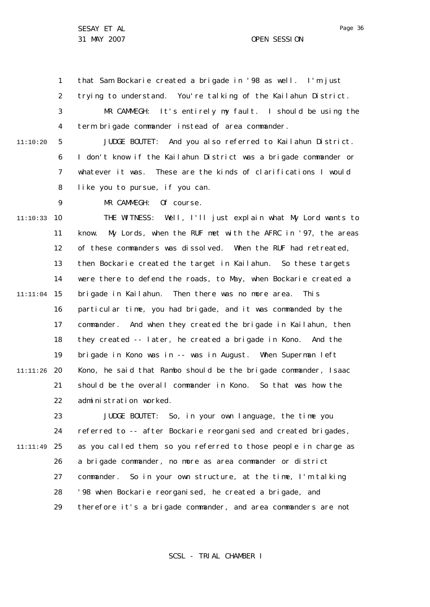1 that Sam Bockarie created a brigade in '98 as well. I'm just

2 trying to understand. You're talking of the Kailahun District.

3 4 MR CAMMEGH: It's entirely my fault. I should be using the term brigade commander instead of area commander.

5 6 7 8 11:10:20 JUDGE BOUTET: And you also referred to Kailahun District. I don't know if the Kailahun District was a brigade commander or whatever it was. These are the kinds of clarifications I would like you to pursue, if you can.

MR CAMMEGH: Of course.

 $\mathsf{Q}$ 

10 11:10:33 11 12 13 14 15 11:11:04 16 17 18 19 20 11:11:26 21 22 THE WITNESS: Well, I'll just explain what My Lord wants to know. My Lords, when the RUF met with the AFRC in '97, the areas of these commanders was dissolved. When the RUF had retreated, then Bockarie created the target in Kailahun. So these targets were there to defend the roads, to May, when Bockarie created a brigade in Kailahun. Then there was no more area. This particular time, you had brigade, and it was commanded by the commander. And when they created the brigade in Kailahun, then they created -- later, he created a brigade in Kono. And the brigade in Kono was in -- was in August. When Superman left Kono, he said that Rambo should be the brigade commander, Isaac should be the overall commander in Kono. So that was how the administration worked.

23 24 25 11:11:49 26 27 28 29 JUDGE BOUTET: So, in your own language, the time you referred to -- after Bockarie reorganised and created brigades, as you called them, so you referred to those people in charge as a brigade commander, no more as area commander or district commander. So in your own structure, at the time, I'm talking '98 when Bockarie reorganised, he created a brigade, and therefore it's a brigade commander, and area commanders are not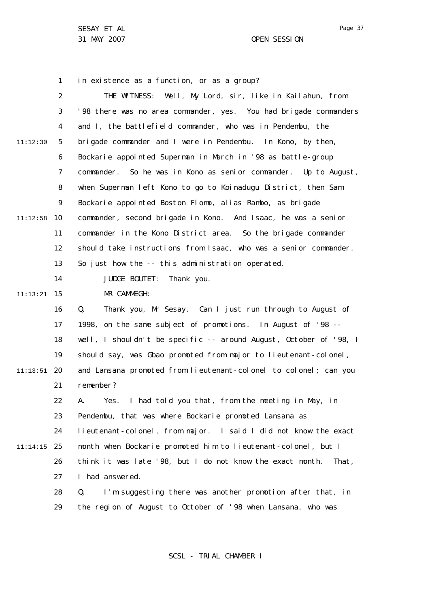1 2 3 4 5 6 7 8  $\mathsf{Q}$ 10 11:12:58 11 12 13 14 15 11:13:21 16 17 18 19 20 11:13:51 21 22 23 24 25 11:14:15 26 27 28 29 11:12:30 in existence as a function, or as a group? THE WITNESS: Well, My Lord, sir, like in Kailahun, from '98 there was no area commander, yes. You had brigade commanders and I, the battlefield commander, who was in Pendembu, the brigade commander and I were in Pendembu. In Kono, by then, Bockarie appointed Superman in March in '98 as battle-group commander. So he was in Kono as senior commander. Up to August, when Superman left Kono to go to Koinadugu District, then Sam Bockarie appointed Boston Flomo, alias Rambo, as brigade commander, second brigade in Kono. And Isaac, he was a senior commander in the Kono District area. So the brigade commander should take instructions from Isaac, who was a senior commander. So just how the -- this administration operated. JUDGE BOUTET: Thank you. MR CAMMEGH: Q. Thank you, Mr Sesay. Can I just run through to August of 1998, on the same subject of promotions. In August of '98 - well, I shouldn't be specific -- around August, October of '98, I should say, was Gbao promoted from major to lieutenant-colonel, and Lansana promoted from lieutenant-colonel to colonel; can you remember? A. Yes. I had told you that, from the meeting in May, in Pendembu, that was where Bockarie promoted Lansana as lieutenant-colonel, from major. I said I did not know the exact month when Bockarie promoted him to lieutenant-colonel, but I think it was late '98, but I do not know the exact month. That, I had answered. Q. I'm suggesting there was another promotion after that, in the region of August to October of '98 when Lansana, who was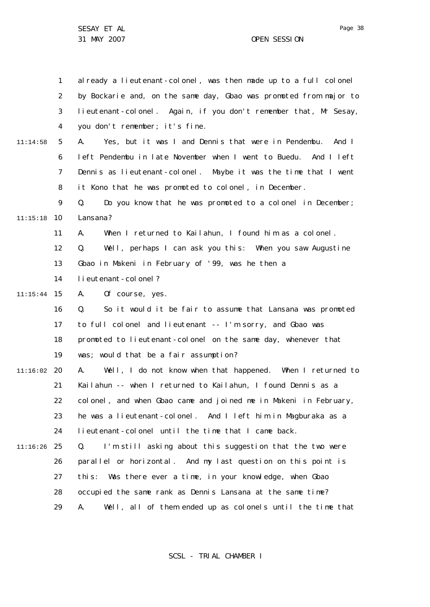1 2 3 4 5 6 7 8  $\mathsf{Q}$ 10 11:15:18 11 12 13 14 15 11:15:44 16 17 18 19 20 11:16:02 21 22 23 24 25 11:16:26 26 27 28 29 11:14:58 already a lieutenant-colonel, was then made up to a full colonel by Bockarie and, on the same day, Gbao was promoted from major to lieutenant-colonel. Again, if you don't remember that, Mr Sesay, you don't remember; it's fine. A. Yes, but it was I and Dennis that were in Pendembu. And I left Pendembu in late November when I went to Buedu. And I left Dennis as lieutenant-colonel. Maybe it was the time that I went it Kono that he was promoted to colonel, in December. Q. Do you know that he was promoted to a colonel in December; Lansana? A. When I returned to Kailahun, I found him as a colonel. Q. Well, perhaps I can ask you this: When you saw Augustine Gbao in Makeni in February of '99, was he then a lieutenant-colonel? A. Of course, yes. Q. So it would it be fair to assume that Lansana was promoted to full colonel and lieutenant -- I'm sorry, and Gbao was promoted to lieutenant-colonel on the same day, whenever that was; would that be a fair assumption? A. Well, I do not know when that happened. When I returned to Kailahun -- when I returned to Kailahun, I found Dennis as a colonel, and when Gbao came and joined me in Makeni in February, he was a lieutenant-colonel. And I left him in Magburaka as a lieutenant-colonel until the time that I came back. Q. I'm still asking about this suggestion that the two were parallel or horizontal. And my last question on this point is this: Was there ever a time, in your knowledge, when Gbao occupied the same rank as Dennis Lansana at the same time? A. Well, all of them ended up as colonels until the time that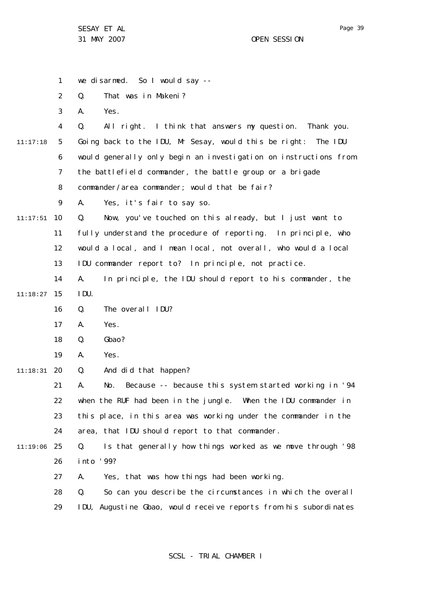|          | $\mathbf{1}$   | we disarmed. So I would say --                                     |
|----------|----------------|--------------------------------------------------------------------|
|          | $\overline{2}$ | Q.<br>That was in Makeni?                                          |
|          | 3              | А.<br>Yes.                                                         |
|          | 4              | All right. I think that answers my question. Thank you.<br>Q.      |
| 11:17:18 | 5              | Going back to the IDU, Mr Sesay, would this be right:<br>The IDU   |
|          | 6              | would generally only begin an investigation on instructions from   |
|          | 7              | the battlefield commander, the battle group or a brigade           |
|          | 8              | commander/area commander; would that be fair?                      |
|          | 9              | Yes, it's fair to say so.<br>А.                                    |
| 11:17:51 | 10             | Q.<br>Now, you've touched on this already, but I just want to      |
|          | 11             | fully understand the procedure of reporting. In principle, who     |
|          | 12             | would a local, and I mean local, not overall, who would a local    |
|          | 13             | IDU commander report to? In principle, not practice.               |
|          | 14             | In principle, the IDU should report to his commander, the<br>Α.    |
| 11:18:27 | 15             | IDU.                                                               |
|          | 16             | The overall IDU?<br>Q.                                             |
|          | 17             | Yes.<br>А.                                                         |
|          | 18             | Gbao?<br>Q.                                                        |
|          | 19             | Yes.<br>А.                                                         |
| 11:18:31 | 20             | And did that happen?<br>Q.                                         |
|          | 21             | Because -- because this system started working in '94<br>Α.<br>No. |
|          | 22             | when the RUF had been in the jungle. When the IDU commander in     |
|          | 23             | this place, in this area was working under the commander in the    |
|          | 24             | area, that IDU should report to that commander.                    |
| 11:19:06 | 25             | Is that generally how things worked as we move through '98<br>Q.   |
|          | 26             | into '99?                                                          |
|          | 27             | Yes, that was how things had been working.<br>А.                   |
|          | 28             | Q.<br>So can you describe the circumstances in which the overall   |
|          | 29             | IDU, Augustine Gbao, would receive reports from his subordinates   |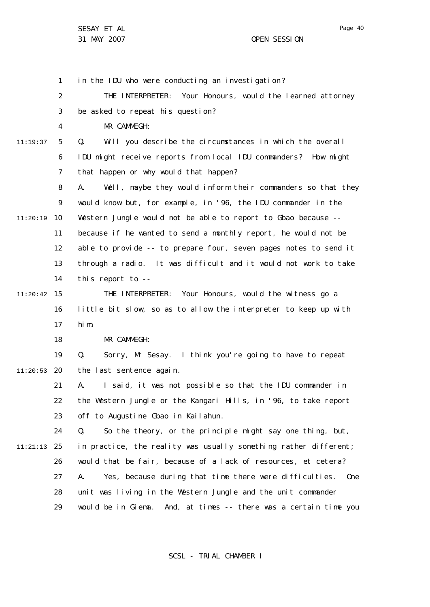Page 40

1 2 3 4 5 6 7 8  $\mathsf{Q}$ 10 11:20:19 11 12 13 14 15 11:20:42 16 17 18 19 20 11:20:53 21 22 23 24 25 11:21:13 26 27 28 29 11:19:37 in the IDU who were conducting an investigation? THE INTERPRETER: Your Honours, would the learned attorney be asked to repeat his question? MR CAMMEGH: Q. Will you describe the circumstances in which the overall IDU might receive reports from local IDU commanders? How might that happen or why would that happen? A. Well, maybe they would inform their commanders so that they would know but, for example, in '96, the IDU commander in the Western Jungle would not be able to report to Gbao because - because if he wanted to send a monthly report, he would not be able to provide -- to prepare four, seven pages notes to send it through a radio. It was difficult and it would not work to take this report to -- THE INTERPRETER: Your Honours, would the witness go a little bit slow, so as to allow the interpreter to keep up with him. MR CAMMEGH: Q. Sorry, Mr Sesay. I think you're going to have to repeat the last sentence again. A. I said, it was not possible so that the IDU commander in the Western Jungle or the Kangari Hills, in '96, to take report off to Augustine Gbao in Kailahun. Q. So the theory, or the principle might say one thing, but, in practice, the reality was usually something rather different; would that be fair, because of a lack of resources, et cetera? A. Yes, because during that time there were difficulties. One unit was living in the Western Jungle and the unit commander would be in Giema. And, at times -- there was a certain time you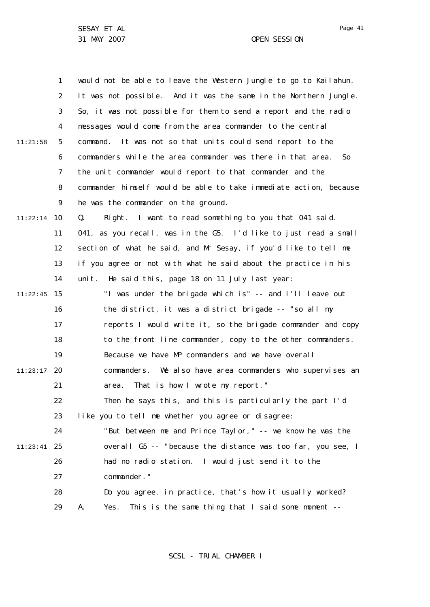1 2 3 4 5 6 7 8  $\mathsf{Q}$ 10 11:22:14 11 12 13 14 15 11:22:45 16 17 18 19 20 11:23:17 21 22 23 24 25 11:23:41 26 27 28 29 11:21:58 would not be able to leave the Western Jungle to go to Kailahun. It was not possible. And it was the same in the Northern Jungle. So, it was not possible for them to send a report and the radio messages would come from the area commander to the central command. It was not so that units could send report to the commanders while the area commander was there in that area. So the unit commander would report to that commander and the commander himself would be able to take immediate action, because he was the commander on the ground. Q. Right. I want to read something to you that 041 said. 041, as you recall, was in the G5. I'd like to just read a small section of what he said, and Mr Sesay, if you'd like to tell me if you agree or not with what he said about the practice in his unit. He said this, page 18 on 11 July last year: "I was under the brigade which is" -- and I'll leave out the district, it was a district brigade -- "so all my reports I would write it, so the brigade commander and copy to the front line commander, copy to the other commanders. Because we have MP commanders and we have overall commanders. We also have area commanders who supervises an area. That is how I wrote my report." Then he says this, and this is particularly the part I'd like you to tell me whether you agree or disagree: "But between me and Prince Taylor," -- we know he was the overall G5 -- "because the distance was too far, you see, I had no radio station. I would just send it to the commander." Do you agree, in practice, that's how it usually worked? A. Yes. This is the same thing that I said some moment --

SCSL - TRIAL CHAMBER I

Page 41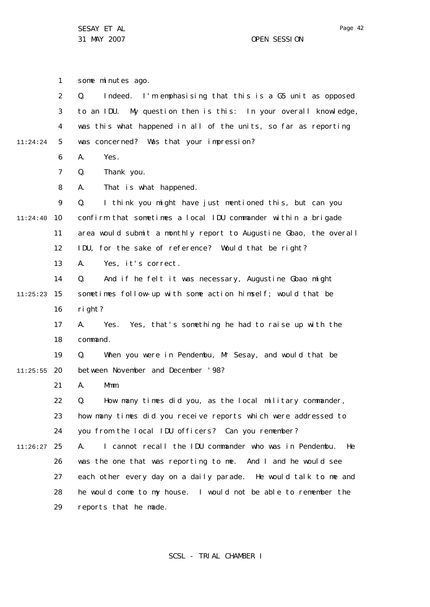1 2 3 4 5 6 7 8  $\mathsf{Q}$ 10 11:24:40 11 12 13 14 15 11:25:23 16 17 18 19 20 11:25:55 21 22 23 24 25 11:26:27 26 27 28 29 11:24:24 some minutes ago. Q. Indeed. I'm emphasising that this is a G5 unit as opposed to an IDU. My question then is this: In your overall knowledge, was this what happened in all of the units, so far as reporting was concerned? Was that your impression? A. Yes. Q. Thank you. A. That is what happened. Q. I think you might have just mentioned this, but can you confirm that sometimes a local IDU commander within a brigade area would submit a monthly report to Augustine Gbao, the overall IDU, for the sake of reference? Would that be right? A. Yes, it's correct. Q. And if he felt it was necessary, Augustine Gbao might sometimes follow-up with some action himself; would that be right? A. Yes. Yes, that's something he had to raise up with the command. Q. When you were in Pendembu, Mr Sesay, and would that be between November and December '98? A. Mmm. Q. How many times did you, as the local military commander, how many times did you receive reports which were addressed to you from the local IDU officers? Can you remember? A. I cannot recall the IDU commander who was in Pendembu. He was the one that was reporting to me. And I and he would see each other every day on a daily parade. He would talk to me and he would come to my house. I would not be able to remember the reports that he made.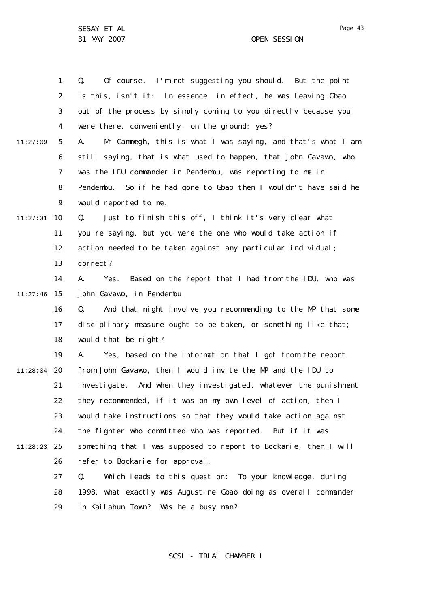31 MAY 2007 OPEN SESSION

1 2 3 4 5 6 7 8  $\mathsf{Q}$ 10 11:27:31 11 12 13 14 15 11:27:46 16 17 18 19 20 11:28:04 21 22 23 24 25 11:28:23 26 27 28 29 11:27:09 Q. Of course. I'm not suggesting you should. But the point is this, isn't it: In essence, in effect, he was leaving Gbao out of the process by simply coming to you directly because you were there, conveniently, on the ground; yes? A. Mr Cammegh, this is what I was saying, and that's what I am still saying, that is what used to happen, that John Gavawo, who was the IDU commander in Pendembu, was reporting to me in Pendembu. So if he had gone to Gbao then I wouldn't have said he would reported to me. Q. Just to finish this off, I think it's very clear what you're saying, but you were the one who would take action if action needed to be taken against any particular individual; correct? A. Yes. Based on the report that I had from the IDU, who was John Gavawo, in Pendembu. Q. And that might involve you recommending to the MP that some disciplinary measure ought to be taken, or something like that; would that be right? A. Yes, based on the information that I got from the report from John Gavawo, then I would invite the MP and the IDU to investigate. And when they investigated, whatever the punishment they recommended, if it was on my own level of action, then I would take instructions so that they would take action against the fighter who committed who was reported. But if it was something that I was supposed to report to Bockarie, then I will refer to Bockarie for approval. Q. Which leads to this question: To your knowledge, during 1998, what exactly was Augustine Gbao doing as overall commander in Kailahun Town? Was he a busy man?

## SCSL - TRIAL CHAMBER I

Page 43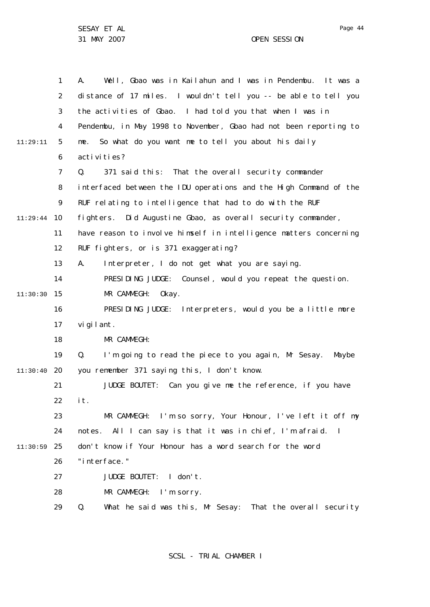31 MAY 2007 OPEN SESSION

1 2 3 4 5 6 7 8  $\mathsf{Q}$ 10 11:29:44 11 12 13 14 15 11:30:30 16 17 18 19 20 11:30:40 21 22 23 24 25 11:30:59 26 27 28 29 11:29:11 A. Well, Gbao was in Kailahun and I was in Pendembu. It was a distance of 17 miles. I wouldn't tell you -- be able to tell you the activities of Gbao. I had told you that when I was in Pendembu, in May 1998 to November, Gbao had not been reporting to me. So what do you want me to tell you about his daily activities? Q. 371 said this: That the overall security commander interfaced between the IDU operations and the High Command of the RUF relating to intelligence that had to do with the RUF fighters. Did Augustine Gbao, as overall security commander, have reason to involve himself in intelligence matters concerning RUF fighters, or is 371 exaggerating? A. Interpreter, I do not get what you are saying. PRESIDING JUDGE: Counsel, would you repeat the question. MR CAMMEGH: Okay. PRESIDING JUDGE: Interpreters, would you be a little more vigilant. MR CAMMEGH: Q. I'm going to read the piece to you again, Mr Sesay. Maybe you remember 371 saying this, I don't know. JUDGE BOUTET: Can you give me the reference, if you have it. MR CAMMEGH: I'm so sorry, Your Honour, I've left it off my notes. All I can say is that it was in chief, I'm afraid. I don't know if Your Honour has a word search for the word "interface." JUDGE BOUTET: I don't. MR CAMMEGH: I'm sorry. Q. What he said was this, Mr Sesay: That the overall security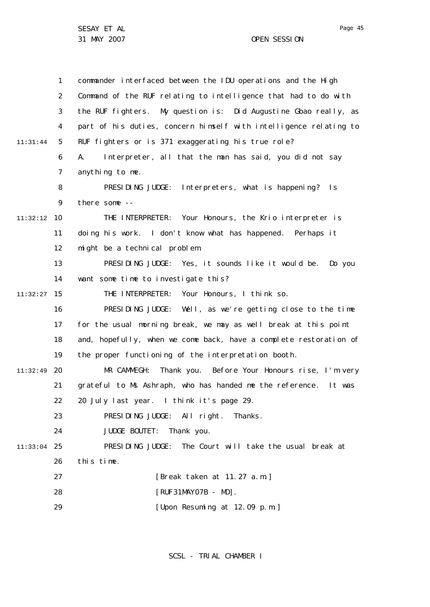31 MAY 2007 OPEN SESSION

1 2 3 4 5 6 7 8  $\mathsf{Q}$ 10 11:32:12 11 12 13 14 15 11:32:27 16 17 18 19 20 11:32:49 21 22 23 24 25 11:33:04 26 27 28 29 11:31:44 commander interfaced between the IDU operations and the High Command of the RUF relating to intelligence that had to do with the RUF fighters. My question is: Did Augustine Gbao really, as part of his duties, concern himself with intelligence relating to RUF fighters or is 371 exaggerating his true role? A. Interpreter, all that the man has said, you did not say anything to me. PRESIDING JUDGE: Interpreters, what is happening? Is there some -- THE INTERPRETER: Your Honours, the Krio interpreter is doing his work. I don't know what has happened. Perhaps it might be a technical problem. PRESIDING JUDGE: Yes, it sounds like it would be. Do you want some time to investigate this? THE INTERPRETER: Your Honours, I think so. PRESIDING JUDGE: Well, as we're getting close to the time for the usual morning break, we may as well break at this point and, hopefully, when we come back, have a complete restoration of the proper functioning of the interpretation booth. MR CAMMEGH: Thank you. Before Your Honours rise, I'm very grateful to Ms Ashraph, who has handed me the reference. It was 20 July last year. I think it's page 29. PRESIDING JUDGE: All right. Thanks. JUDGE BOUTET: Thank you. PRESIDING JUDGE: The Court will take the usual break at this time. [Break taken at 11.27 a.m.] [RUF31MAY07B - MD]. [Upon Resuming at 12.09 p.m.]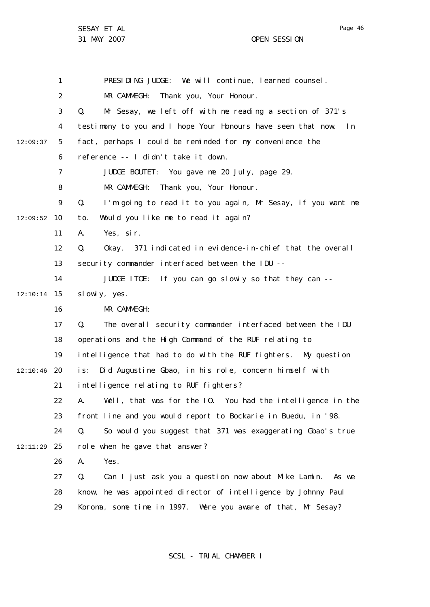1 2 3 4 5 6 7 8  $\mathsf{Q}$ 10 12:09:52 11 12 13 14 15 12:10:14 16 17 18 19 20 12:10:46 21 22 23 24 25 12:11:29 26 27 28 29 12:09:37 PRESIDING JUDGE: We will continue, learned counsel. MR CAMMEGH: Thank you, Your Honour. Q. Mr Sesay, we left off with me reading a section of 371's testimony to you and I hope Your Honours have seen that now. In fact, perhaps I could be reminded for my convenience the reference -- I didn't take it down. JUDGE BOUTET: You gave me 20 July, page 29. MR CAMMEGH: Thank you, Your Honour. Q. I'm going to read it to you again, Mr Sesay, if you want me to. Would you like me to read it again? A. Yes, sir. Q. Okay. 371 indicated in evidence-in-chief that the overall security commander interfaced between the IDU --JUDGE ITOE: If you can go slowly so that they can - slowly, yes. MR CAMMEGH: Q. The overall security commander interfaced between the IDU operations and the High Command of the RUF relating to intelligence that had to do with the RUF fighters. My question is: Did Augustine Gbao, in his role, concern himself with intelligence relating to RUF fighters? A. Well, that was for the IO. You had the intelligence in the front line and you would report to Bockarie in Buedu, in '98. Q. So would you suggest that 371 was exaggerating Gbao's true role when he gave that answer? A. Yes. Q. Can I just ask you a question now about Mike Lamin. As we know, he was appointed director of intelligence by Johnny Paul Koroma, some time in 1997. Were you aware of that, Mr Sesay?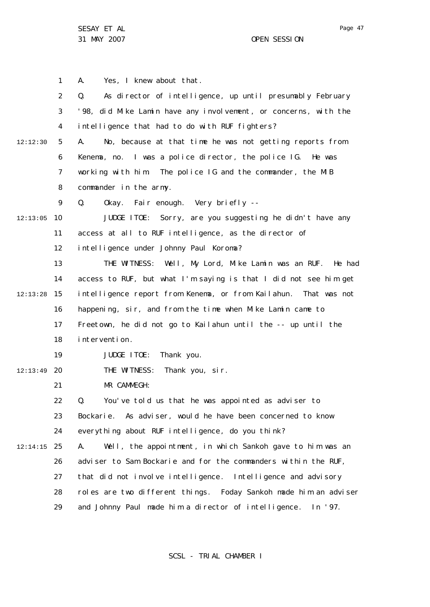1 2 3 4 5 6 7 8  $\mathsf{Q}$ 10 12:13:05 11 12 13 14 15 12:13:28 16 17 18 19 20 12:13:49 21 22 23 24 25 12:14:15 26 27 28 29 12:12:30 A. Yes, I knew about that. Q. As director of intelligence, up until presumably February '98, did Mike Lamin have any involvement, or concerns, with the intelligence that had to do with RUF fighters? A. No, because at that time he was not getting reports from Kenema, no. I was a police director, the police IG. He was working with him. The police IG and the commander, the MIB commander in the army. Q. Okay. Fair enough. Very briefly -- JUDGE ITOE: Sorry, are you suggesting he didn't have any access at all to RUF intelligence, as the director of intelligence under Johnny Paul Koroma? THE WITNESS: Well, My Lord, Mike Lamin was an RUF. He had access to RUF, but what I'm saying is that I did not see him get intelligence report from Kenema, or from Kailahun. That was not happening, sir, and from the time when Mike Lamin came to Freetown, he did not go to Kailahun until the -- up until the intervention. JUDGE ITOE: Thank you. THE WITNESS: Thank you, sir. MR CAMMEGH: Q. You've told us that he was appointed as adviser to Bockarie. As adviser, would he have been concerned to know everything about RUF intelligence, do you think? A. Well, the appointment, in which Sankoh gave to him was an adviser to Sam Bockarie and for the commanders within the RUF, that did not involve intelligence. Intelligence and advisory roles are two different things. Foday Sankoh made him an adviser and Johnny Paul made him a director of intelligence. In '97.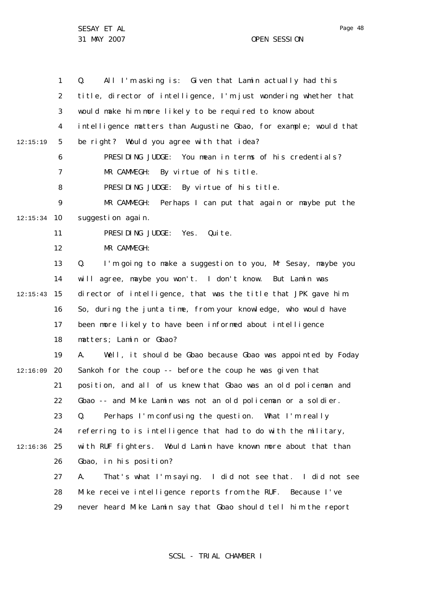31 MAY 2007 OPEN SESSION

1 2 3 4 5 6 7 8  $\mathsf{Q}$ 10 12:15:34 11 12 13 14 15 12:15:43 16 17 18 19 12:16:09 20 21 22 23 24 25 12:16:36 26 27 28 29 12:15:19 Q. All I'm asking is: Given that Lamin actually had this title, director of intelligence, I'm just wondering whether that would make him more likely to be required to know about intelligence matters than Augustine Gbao, for example; would that be right? Would you agree with that idea? PRESIDING JUDGE: You mean in terms of his credentials? MR CAMMEGH: By virtue of his title. PRESIDING JUDGE: By virtue of his title. MR CAMMEGH: Perhaps I can put that again or maybe put the suggestion again. PRESIDING JUDGE: Yes. Quite. MR CAMMEGH: Q. I'm going to make a suggestion to you, Mr Sesay, maybe you will agree, maybe you won't. I don't know. But Lamin was director of intelligence, that was the title that JPK gave him. So, during the junta time, from your knowledge, who would have been more likely to have been informed about intelligence matters; Lamin or Gbao? A. Well, it should be Gbao because Gbao was appointed by Foday Sankoh for the coup -- before the coup he was given that position, and all of us knew that Gbao was an old policeman and Gbao -- and Mike Lamin was not an old policeman or a soldier. Q. Perhaps I'm confusing the question. What I'm really referring to is intelligence that had to do with the military, with RUF fighters. Would Lamin have known more about that than Gbao, in his position? A. That's what I'm saying. I did not see that. I did not see Mike receive intelligence reports from the RUF. Because I've never heard Mike Lamin say that Gbao should tell him the report

SCSL - TRIAL CHAMBER I

Page 48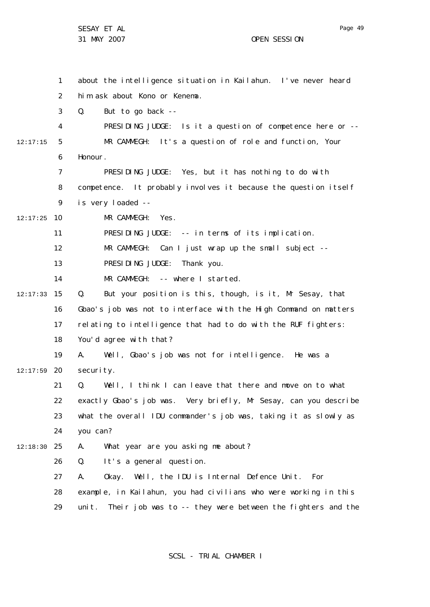1 2 3 4 5 6 7 8  $\mathsf{Q}$ 10 12:17:25 11 12 13 14 15 12:17:33 16 17 18 19 20 12:17:59 21 22 23 24 25 12:18:30 26 27 28 29 12:17:15 about the intelligence situation in Kailahun. I've never heard him ask about Kono or Kenema. Q. But to go back -- PRESIDING JUDGE: Is it a question of competence here or -- MR CAMMEGH: It's a question of role and function, Your Honour. PRESIDING JUDGE: Yes, but it has nothing to do with competence. It probably involves it because the question itself is very loaded -- MR CAMMEGH: Yes. PRESIDING JUDGE: -- in terms of its implication. MR CAMMEGH: Can I just wrap up the small subject --PRESIDING JUDGE: Thank you. MR CAMMEGH: -- where I started. Q. But your position is this, though, is it, Mr Sesay, that Gbao's job was not to interface with the High Command on matters relating to intelligence that had to do with the RUF fighters: You'd agree with that? A. Well, Gbao's job was not for intelligence. He was a security. Q. Well, I think I can leave that there and move on to what exactly Gbao's job was. Very briefly, Mr Sesay, can you describe what the overall IDU commander's job was, taking it as slowly as you can? A. What year are you asking me about? Q. It's a general question. A. Okay. Well, the IDU is Internal Defence Unit. For example, in Kailahun, you had civilians who were working in this unit. Their job was to -- they were between the fighters and the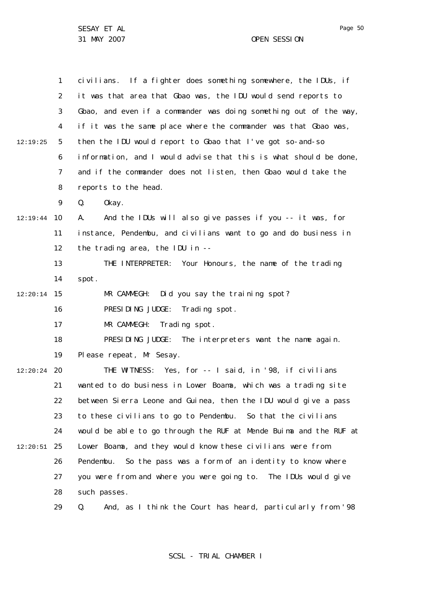1 2 3 4 5 6 7 8  $\mathsf{Q}$ 10 12:19:44 11 12 13 14 15 12:20:14 16 17 18 19 20 12:20:24 21 22 23 24 25 12:20:51 26 27 28 29 12:19:25 civilians. If a fighter does something somewhere, the IDUs, if it was that area that Gbao was, the IDU would send reports to Gbao, and even if a commander was doing something out of the way, if it was the same place where the commander was that Gbao was, then the IDU would report to Gbao that I've got so-and-so information, and I would advise that this is what should be done, and if the commander does not listen, then Gbao would take the reports to the head. Q. Okay. A. And the IDUs will also give passes if you -- it was, for instance, Pendembu, and civilians want to go and do business in the trading area, the IDU in -- THE INTERPRETER: Your Honours, the name of the trading spot. MR CAMMEGH: Did you say the training spot? PRESIDING JUDGE: Trading spot. MR CAMMEGH: Trading spot. PRESIDING JUDGE: The interpreters want the name again. Please repeat, Mr Sesay. THE WITNESS: Yes, for -- I said, in '98, if civilians wanted to do business in Lower Boama, which was a trading site between Sierra Leone and Guinea, then the IDU would give a pass to these civilians to go to Pendembu. So that the civilians would be able to go through the RUF at Mende Buima and the RUF at Lower Boama, and they would know these civilians were from Pendembu. So the pass was a form of an identity to know where you were from and where you were going to. The IDUs would give such passes. Q. And, as I think the Court has heard, particularly from '98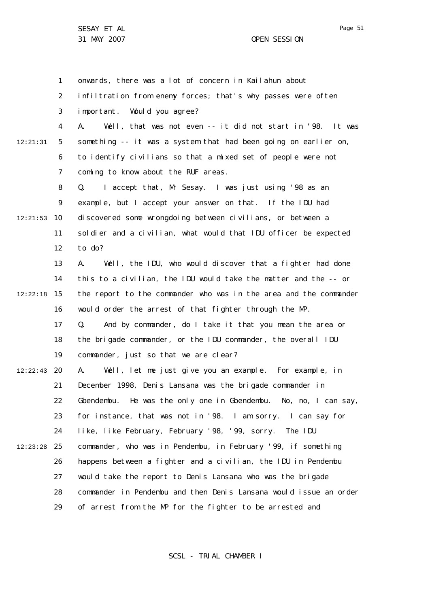1 2 3 4 5 6 7 8 9 10 12:21:53 11 12 13 14 15 12:22:18 16 17 18 19 20 12:22:43 21 22 23 24 25 12:23:28 26 27 28 29 12:21:31 onwards, there was a lot of concern in Kailahun about infiltration from enemy forces; that's why passes were often important. Would you agree? A. Well, that was not even -- it did not start in '98. It was something -- it was a system that had been going on earlier on, to identify civilians so that a mixed set of people were not coming to know about the RUF areas. Q. I accept that, Mr Sesay. I was just using '98 as an example, but I accept your answer on that. If the IDU had discovered some wrongdoing between civilians, or between a soldier and a civilian, what would that IDU officer be expected to do? A. Well, the IDU, who would discover that a fighter had done this to a civilian, the IDU would take the matter and the -- or the report to the commander who was in the area and the commander would order the arrest of that fighter through the MP. Q. And by commander, do I take it that you mean the area or the brigade commander, or the IDU commander, the overall IDU commander, just so that we are clear? A. Well, let me just give you an example. For example, in December 1998, Denis Lansana was the brigade commander in Gbendembu. He was the only one in Gbendembu. No, no, I can say, for instance, that was not in '98. I am sorry. I can say for like, like February, February '98, '99, sorry. The IDU commander, who was in Pendembu, in February '99, if something happens between a fighter and a civilian, the IDU in Pendembu would take the report to Denis Lansana who was the brigade commander in Pendembu and then Denis Lansana would issue an order of arrest from the MP for the fighter to be arrested and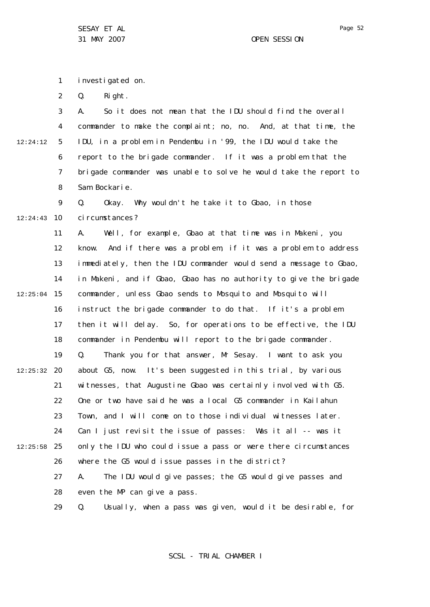1 investigated on.

2 Q. Right.

3 4 5 6 7 8 12:24:12 A. So it does not mean that the IDU should find the overall commander to make the complaint; no, no. And, at that time, the IDU, in a problem in Pendembu in '99, the IDU would take the report to the brigade commander. If it was a problem that the brigade commander was unable to solve he would take the report to Sam Bockarie.

 $\mathsf{Q}$ 10 12:24:43 Q. Okay. Why wouldn't he take it to Gbao, in those ci rcumstances?

11 12 13 14 15 12:25:04 16 17 18 19 20 12:25:32 21 22 23 24 25 12:25:58 26 27 28 A. Well, for example, Gbao at that time was in Makeni, you know. And if there was a problem, if it was a problem to address immediately, then the IDU commander would send a message to Gbao, in Makeni, and if Gbao, Gbao has no authority to give the brigade commander, unless Gbao sends to Mosquito and Mosquito will instruct the brigade commander to do that. If it's a problem then it will delay. So, for operations to be effective, the IDU commander in Pendembu will report to the brigade commander. Q. Thank you for that answer, Mr Sesay. I want to ask you about G5, now. It's been suggested in this trial, by various witnesses, that Augustine Gbao was certainly involved with G5. One or two have said he was a local G5 commander in Kailahun Town, and I will come on to those individual witnesses later. Can I just revisit the issue of passes: Was it all -- was it only the IDU who could issue a pass or were there circumstances where the G5 would issue passes in the district? A. The IDU would give passes; the G5 would give passes and even the MP can give a pass.

> 29 Q. Usually, when a pass was given, would it be desirable, for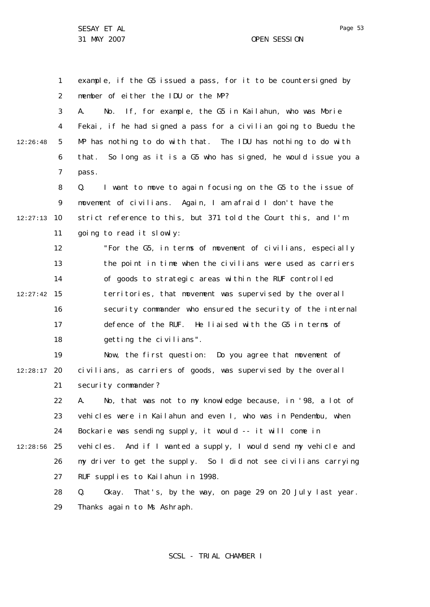1 2 3 4 5 6 7 8  $\mathsf{Q}$ 10 12:27:13 11 12 13 14 15 12:27:42 16 17 18 19 20 12:28:17 21 22 23 24 25 12:28:56 26 27 12:26:48 example, if the G5 issued a pass, for it to be countersigned by member of either the IDU or the MP? A. No. If, for example, the G5 in Kailahun, who was Morie Fekai, if he had signed a pass for a civilian going to Buedu the MP has nothing to do with that. The IDU has nothing to do with that. So long as it is a G5 who has signed, he would issue you a pass. Q. I want to move to again focusing on the G5 to the issue of movement of civilians. Again, I am afraid I don't have the strict reference to this, but 371 told the Court this, and I'm going to read it slowly: "For the G5, in terms of movement of civilians, especially the point in time when the civilians were used as carriers of goods to strategic areas within the RUF controlled territories, that movement was supervised by the overall security commander who ensured the security of the internal defence of the RUF. He liaised with the G5 in terms of getting the civilians". Now, the first question: Do you agree that movement of civilians, as carriers of goods, was supervised by the overall security commander? A. No, that was not to my knowledge because, in '98, a lot of vehicles were in Kailahun and even I, who was in Pendembu, when Bockarie was sending supply, it would -- it will come in vehicles. And if I wanted a supply, I would send my vehicle and my driver to get the supply. So I did not see civilians carrying RUF supplies to Kailahun in 1998.

> 28 29 Q. Okay. That's, by the way, on page 29 on 20 July last year. Thanks again to Ms Ashraph.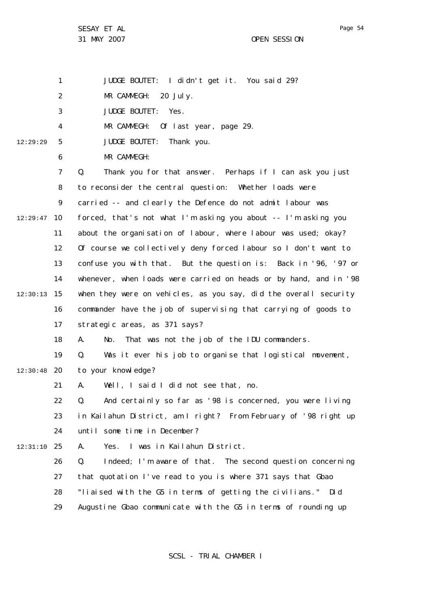1 2 3 4 5 6 7 8  $\mathsf{Q}$ 10 12:29:47 11 12 13 14 15 12:30:13 16 17 18 19 12:30:48 20 21 22 23 24 25 12:31:10 26 27 28 29 12:29:29 JUDGE BOUTET: I didn't get it. You said 29? MR CAMMEGH: 20 July. JUDGE BOUTET: Yes. MR CAMMEGH: Of last year, page 29. JUDGE BOUTET: Thank you. MR CAMMEGH: Q. Thank you for that answer. Perhaps if I can ask you just to reconsider the central question: Whether loads were carried -- and clearly the Defence do not admit labour was forced, that's not what I'm asking you about -- I'm asking you about the organisation of labour, where labour was used; okay? Of course we collectively deny forced labour so I don't want to confuse you with that. But the question is: Back in '96, '97 or whenever, when loads were carried on heads or by hand, and in '98 when they were on vehicles, as you say, did the overall security commander have the job of supervising that carrying of goods to strategic areas, as 371 says? A. No. That was not the job of the IDU commanders. Q. Was it ever his job to organise that logistical movement, to your knowledge? A. Well, I said I did not see that, no. Q. And certainly so far as '98 is concerned, you were living in Kailahun District, am I right? From February of '98 right up until some time in December? A. Yes. I was in Kailahun District. Q. Indeed; I'm aware of that. The second question concerning that quotation I've read to you is where 371 says that Gbao "liaised with the G5 in terms of getting the civilians." Did Augustine Gbao communicate with the G5 in terms of rounding up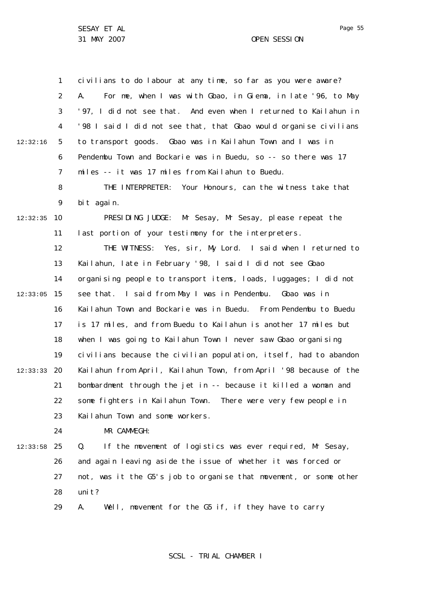1 2 3 4 5 6 7 8  $\mathsf{Q}$ 10 12:32:35 11 12 13 14 15 12:33:05 16 17 18 19 20 12:33:33 21 22 23  $24$ 25 12:33:58 26 27 28 29 12:32:16 civilians to do labour at any time, so far as you were aware? A. For me, when I was with Gbao, in Giema, in late '96, to May '97, I did not see that. And even when I returned to Kailahun in '98 I said I did not see that, that Gbao would organise civilians to transport goods. Gbao was in Kailahun Town and I was in Pendembu Town and Bockarie was in Buedu, so -- so there was 17 miles -- it was 17 miles from Kailahun to Buedu. THE INTERPRETER: Your Honours, can the witness take that bit again. PRESIDING JUDGE: Mr Sesay, Mr Sesay, please repeat the last portion of your testimony for the interpreters. THE WITNESS: Yes, sir, My Lord. I said when I returned to Kailahun, late in February '98, I said I did not see Gbao organising people to transport items, loads, luggages; I did not see that. I said from May I was in Pendembu. Gbao was in Kailahun Town and Bockarie was in Buedu. From Pendembu to Buedu is 17 miles, and from Buedu to Kailahun is another 17 miles but when I was going to Kailahun Town I never saw Gbao organising civilians because the civilian population, itself, had to abandon Kailahun from April, Kailahun Town, from April '98 because of the bombardment through the jet in -- because it killed a woman and some fighters in Kailahun Town. There were very few people in Kailahun Town and some workers. MR CAMMEGH: Q. If the movement of logistics was ever required, Mr Sesay, and again leaving aside the issue of whether it was forced or not, was it the G5's job to organise that movement, or some other uni t? A. Well, movement for the G5 if, if they have to carry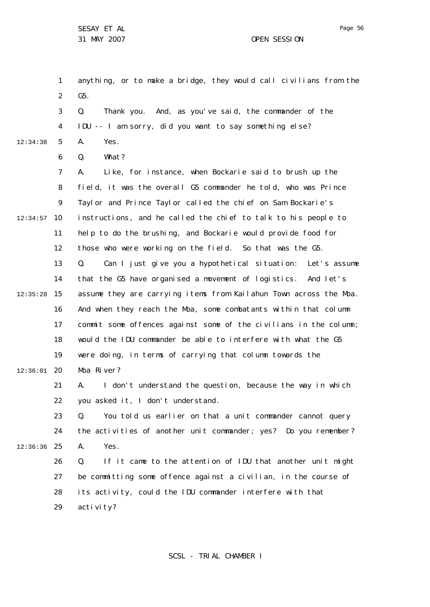1 2 3 4 5 6 7 8  $\mathsf{Q}$ 10 12:34:57 11 12 13 14 15 12:35:28 16 17 18 19 20 12:36:01 21 22 23  $24$ 25 12:36:36 26 27 28 29 12:34:38 anything, or to make a bridge, they would call civilians from the G5. Q. Thank you. And, as you've said, the commander of the IDU -- I am sorry, did you want to say something else? A. Yes. Q. What? A. Like, for instance, when Bockarie said to brush up the field, it was the overall G5 commander he told, who was Prince Taylor and Prince Taylor called the chief on Sam Bockarie's instructions, and he called the chief to talk to his people to help to do the brushing, and Bockarie would provide food for those who were working on the field. So that was the G5. Q. Can I just give you a hypothetical situation: Let's assume that the G5 have organised a movement of logistics. And let's assume they are carrying items from Kailahun Town across the Moa. And when they reach the Moa, some combatants within that column commit some offences against some of the civilians in the column; would the IDU commander be able to interfere with what the G5 were doing, in terms of carrying that column towards the Moa River? A. I don't understand the question, because the way in which you asked it, I don't understand. Q. You told us earlier on that a unit commander cannot query the activities of another unit commander; yes? Do you remember? A. Yes. Q. If it came to the attention of IDU that another unit might be committing some offence against a civilian, in the course of its activity, could the IDU commander interfere with that acti vi ty?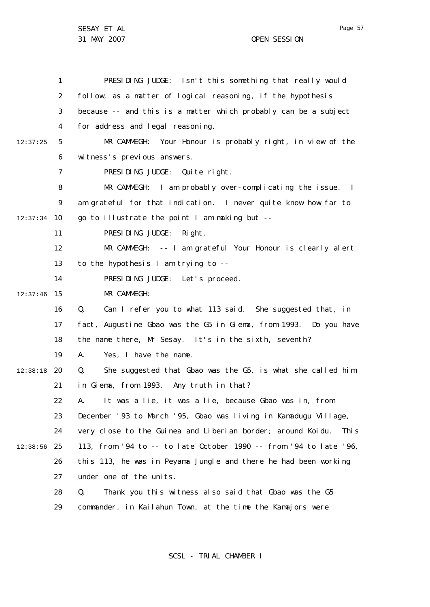|          | $\mathbf{1}$   | PRESIDING JUDGE: Isn't this something that really would              |
|----------|----------------|----------------------------------------------------------------------|
|          |                |                                                                      |
|          | 2              | follow, as a matter of logical reasoning, if the hypothesis          |
|          | 3              | because -- and this is a matter which probably can be a subject      |
|          | 4              | for address and legal reasoning.                                     |
| 12:37:25 | 5              | MR CAMMEGH: Your Honour is probably right, in view of the            |
|          | 6              | witness's previous answers.                                          |
|          | $\overline{7}$ | PRESIDING JUDGE: Quite right.                                        |
|          | 8              | MR CAMMEGH: I am probably over-complicating the issue. I             |
|          | 9              | am grateful for that indication. I never quite know how far to       |
| 12:37:34 | 10             | go to illustrate the point I am making but --                        |
|          | 11             | PRESIDING JUDGE:<br>Ri ght.                                          |
|          | 12             | MR CAMMEGH: -- I am grateful Your Honour is clearly alert            |
|          | 13             | to the hypothesis I am trying to $-$ -                               |
|          | 14             | PRESIDING JUDGE: Let's proceed.                                      |
| 12:37:46 | 15             | MR CAMMEGH:                                                          |
|          | 16             | Can I refer you to what 113 said. She suggested that, in<br>Q.       |
|          | 17             | fact, Augustine Gbao was the G5 in Giema, from 1993. Do you have     |
|          | 18             | the name there, Mr Sesay. It's in the sixth, seventh?                |
|          | 19             | Yes, I have the name.<br>А.                                          |
| 12:38:18 | 20             | She suggested that Gbao was the G5, is what she called him,<br>Q.    |
|          | 21             | in Giema, from 1993. Any truth in that?                              |
|          | 22             | It was a lie, it was a lie, because Gbao was in, from<br>Α.          |
|          | 23             | December '93 to March '95, Gbao was living in Kamadugu Village,      |
|          | 24             | very close to the Guinea and Liberian border; around Koidu.<br>Thi s |
| 12:38:56 | 25             | 113, from '94 to -- to late October 1990 -- from '94 to late '96,    |
|          | 26             | this 113, he was in Peyama Jungle and there he had been working      |
|          | 27             | under one of the units.                                              |
|          | 28             | Thank you this witness also said that Gbao was the G5<br>Q.          |
|          | 29             | commander, in Kailahun Town, at the time the Kamajors were           |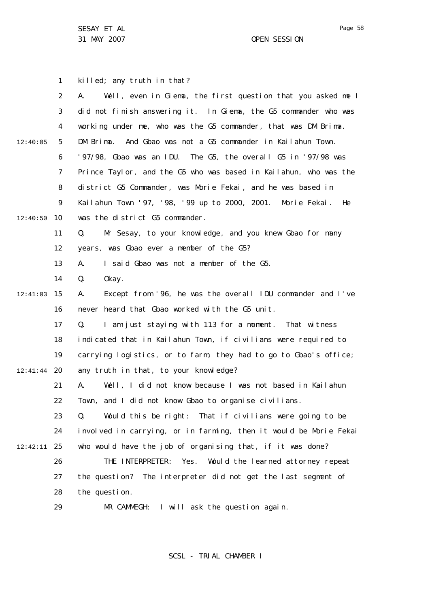1 2 3 4 5 6 7 8  $\mathsf{Q}$ 10 12:40:50 11 12 13 14 15 12:41:03 16 17 18 19 20 12:41:44 21 22 23 24 25 12:42:11 26 27 28 29 12:40:05 killed; any truth in that? A. Well, even in Giema, the first question that you asked me I did not finish answering it. In Giema, the G5 commander who was working under me, who was the G5 commander, that was DM Brima. DM Brima. And Gbao was not a G5 commander in Kailahun Town. '97/98, Gbao was an IDU. The G5, the overall G5 in '97/98 was Prince Taylor, and the G5 who was based in Kailahun, who was the district G5 Commander, was Morie Fekai, and he was based in Kailahun Town '97, '98, '99 up to 2000, 2001. Morie Fekai. He was the district G5 commander. Q. Mr Sesay, to your knowledge, and you knew Gbao for many years, was Gbao ever a member of the G5? A. I said Gbao was not a member of the G5. Q. Okay. A. Except from '96, he was the overall IDU commander and I've never heard that Gbao worked with the G5 unit. Q. I am just staying with 113 for a moment. That witness indicated that in Kailahun Town, if civilians were required to carrying logistics, or to farm, they had to go to Gbao's office; any truth in that, to your knowledge? A. Well, I did not know because I was not based in Kailahun Town, and I did not know Gbao to organise civilians. Q. Would this be right: That if civilians were going to be involved in carrying, or in farming, then it would be Morie Fekai who would have the job of organising that, if it was done? THE INTERPRETER: Yes. Would the learned attorney repeat the question? The interpreter did not get the last segment of the question. MR CAMMEGH: I will ask the question again.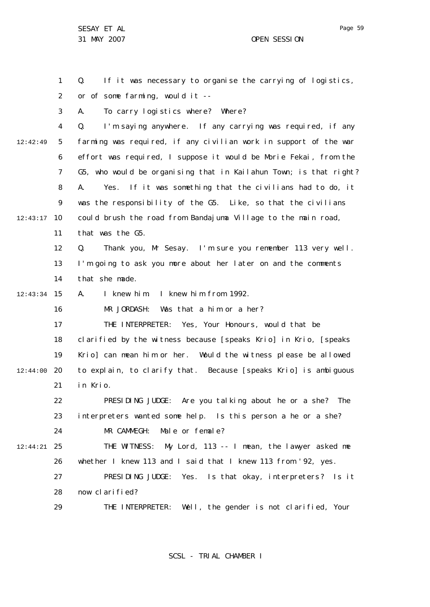1 2 3 4 5 6 7 8  $\mathsf{Q}$ 10 12:43:17 11 12 13 14 15 12:43:34 16 17 18 19 12:44:00 20 21 22 23 24 25 12:44:21 26 27 28 29 12:42:49 Q. If it was necessary to organise the carrying of logistics, or of some farming, would it -- A. To carry logistics where? Where? Q. I'm saying anywhere. If any carrying was required, if any farming was required, if any civilian work in support of the war effort was required, I suppose it would be Morie Fekai, from the G5, who would be organising that in Kailahun Town; is that right? A. Yes. If it was something that the civilians had to do, it was the responsibility of the G5. Like, so that the civilians could brush the road from Bandajuma Village to the main road, that was the G5. Q. Thank you, Mr Sesay. I'm sure you remember 113 very well. I'm going to ask you more about her later on and the comments that she made. A. I knew him. I knew him from 1992. MR JORDASH: Was that a him or a her? THE INTERPRETER: Yes, Your Honours, would that be clarified by the witness because [speaks Krio] in Krio, [speaks Krio] can mean him or her. Would the witness please be allowed to explain, to clarify that. Because [speaks Krio] is ambiguous in Krio. PRESIDING JUDGE: Are you talking about he or a she? The interpreters wanted some help. Is this person a he or a she? MR CAMMEGH: Male or female? THE WITNESS: My Lord, 113 -- I mean, the lawyer asked me whether I knew 113 and I said that I knew 113 from '92, yes. PRESIDING JUDGE: Yes. Is that okay, interpreters? Is it now clarified? THE INTERPRETER: Well, the gender is not clarified, Your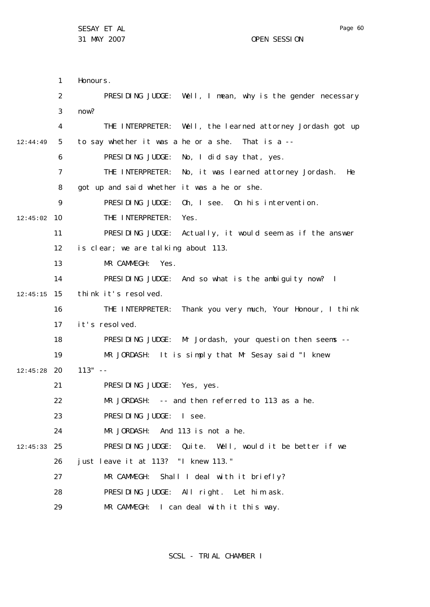1 2 3 4 5 6 7 8  $\mathsf{Q}$ 10 12:45:02 11 12 13 14 15 12:45:15 16 17 18 19 20 12:45:28 21 22 23 24 25 12:45:33 26 27 28 29 12:44:49 Honours. PRESIDING JUDGE: Well, I mean, why is the gender necessary now? THE INTERPRETER: Well, the learned attorney Jordash got up to say whether it was a he or a she. That is a -- PRESIDING JUDGE: No, I did say that, yes. THE INTERPRETER: No, it was learned attorney Jordash. He got up and said whether it was a he or she. PRESIDING JUDGE: Oh, I see. On his intervention. THE INTERPRETER: Yes. PRESIDING JUDGE: Actually, it would seem as if the answer is clear; we are talking about 113. MR CAMMEGH: Yes. PRESIDING JUDGE: And so what is the ambiguity now? I think it's resolved. THE INTERPRETER: Thank you very much, Your Honour, I think it's resolved. PRESIDING JUDGE: Mr Jordash, your question then seems -- MR JORDASH: It is simply that Mr Sesay said "I knew  $113" - -$ PRESIDING JUDGE: Yes, yes. MR JORDASH: -- and then referred to 113 as a he. PRESIDING JUDGE: I see. MR JORDASH: And 113 is not a he. PRESIDING JUDGE: Quite. Well, would it be better if we just leave it at 113? "I knew 113." MR CAMMEGH: Shall I deal with it briefly? PRESIDING JUDGE: All right. Let him ask. MR CAMMEGH: I can deal with it this way.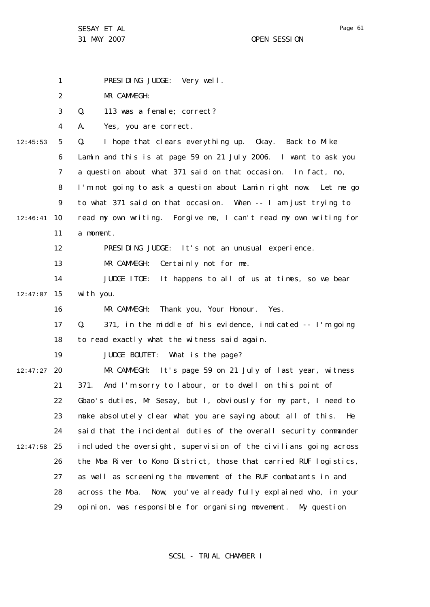1

31 MAY 2007 OPEN SESSION

2 3 4 5 6 7 8  $\mathsf{Q}$ 10 12:46:41 11 12 13 14 15 12:47:07 16 17 18 19 12:47:27 20 21 22 23 24 25 12:47:58 26 27 28 29 12:45:53 MR CAMMEGH: Q. 113 was a female; correct? A. Yes, you are correct. Q. I hope that clears everything up. Okay. Back to Mike Lamin and this is at page 59 on 21 July 2006. I want to ask you a question about what 371 said on that occasion. In fact, no, I'm not going to ask a question about Lamin right now. Let me go to what 371 said on that occasion. When -- I am just trying to read my own writing. Forgive me, I can't read my own writing for a moment. PRESIDING JUDGE: It's not an unusual experience. MR CAMMEGH: Certainly not for me. JUDGE ITOE: It happens to all of us at times, so we bear with you. MR CAMMEGH: Thank you, Your Honour. Yes. Q. 371, in the middle of his evidence, indicated -- I'm going to read exactly what the witness said again. JUDGE BOUTET: What is the page? MR CAMMEGH: It's page 59 on 21 July of last year, witness 371. And I'm sorry to labour, or to dwell on this point of Gbao's duties, Mr Sesay, but I, obviously for my part, I need to make absolutely clear what you are saying about all of this. He said that the incidental duties of the overall security commander included the oversight, supervision of the civilians going across the Moa River to Kono District, those that carried RUF logistics, as well as screening the movement of the RUF combatants in and across the Moa. Now, you've already fully explained who, in your opinion, was responsible for organising movement. My question

PRESIDING JUDGE: Very well.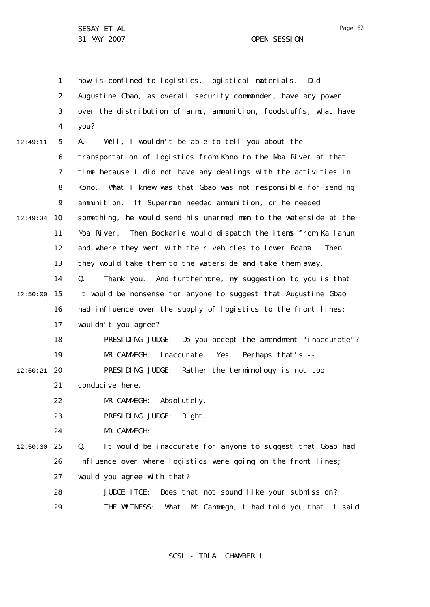31 MAY 2007 OPEN SESSION

1 2 3 4 5 6 7 8  $\mathsf{Q}$ 10 12:49:34 11 12 13 14 15 12:50:00 16 17 18 19 20 12:50:21 21 22 23  $24$ 25 12:50:30 26 27 28 29 12:49:11 now is confined to logistics, logistical materials. Did Augustine Gbao, as overall security commander, have any power over the distribution of arms, ammunition, foodstuffs, what have you? A. Well, I wouldn't be able to tell you about the transportation of logistics from Kono to the Moa River at that time because I did not have any dealings with the activities in Kono. What I knew was that Gbao was not responsible for sending ammunition. If Superman needed ammunition, or he needed something, he would send his unarmed men to the waterside at the Moa River. Then Bockarie would dispatch the items from Kailahun and where they went with their vehicles to Lower Boama. Then they would take them to the waterside and take them away. Q. Thank you. And furthermore, my suggestion to you is that it would be nonsense for anyone to suggest that Augustine Gbao had influence over the supply of logistics to the front lines; wouldn't you agree? PRESIDING JUDGE: Do you accept the amendment "inaccurate"? MR CAMMEGH: Inaccurate. Yes. Perhaps that's -- PRESIDING JUDGE: Rather the terminology is not too conducive here. MR CAMMEGH: Absolutely. PRESIDING JUDGE: Right. MR CAMMEGH: Q. It would be inaccurate for anyone to suggest that Gbao had influence over where logistics were going on the front lines; would you agree with that? JUDGE ITOE: Does that not sound like your submission? THE WITNESS: What, Mr Cammegh, I had told you that, I said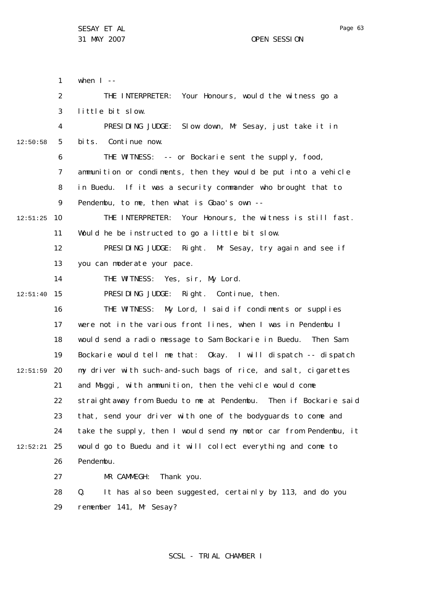1 2 3 4 5 6 7 8  $\mathsf{Q}$ 10 12:51:25 11 12 13 14 15 12:51:40 16 17 18 19 20 12:51:59 21 22 23 24 25 12:52:21 26 27 28 29 12:50:58 when  $I$  --THE INTERPRETER: Your Honours, would the witness go a little bit slow. PRESIDING JUDGE: Slow down, Mr Sesay, just take it in bits. Continue now. THE WITNESS: -- or Bockarie sent the supply, food, ammunition or condiments, then they would be put into a vehicle in Buedu. If it was a security commander who brought that to Pendembu, to me, then what is Gbao's own -- THE INTERPRETER: Your Honours, the witness is still fast. Would he be instructed to go a little bit slow. PRESIDING JUDGE: Right. Mr Sesay, try again and see if you can moderate your pace. THE WITNESS: Yes, sir, My Lord. PRESIDING JUDGE: Right. Continue, then. THE WITNESS: My Lord, I said if condiments or supplies were not in the various front lines, when I was in Pendembu I would send a radio message to Sam Bockarie in Buedu. Then Sam Bockarie would tell me that: Okay. I will dispatch -- dispatch my driver with such-and-such bags of rice, and salt, cigarettes and Maggi, with ammunition, then the vehicle would come straightaway from Buedu to me at Pendembu. Then if Bockarie said that, send your driver with one of the bodyguards to come and take the supply, then I would send my motor car from Pendembu, it would go to Buedu and it will collect everything and come to Pendembu. MR CAMMEGH: Thank you. Q. It has also been suggested, certainly by 113, and do you remember 141, Mr Sesay?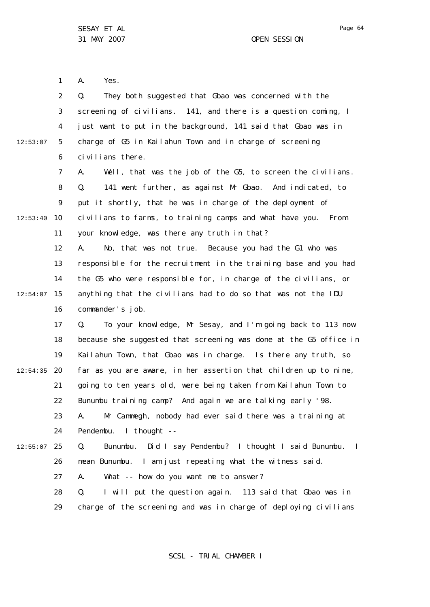1 2 3 4 5 6 7 8 9 10 12:53:40 11 12 13 14 15 12:54:07 16 17 18 19 20 12:54:35 21 22 23 24 25 12:55:07 26 27 28 29 12:53:07 A. Yes. Q. They both suggested that Gbao was concerned with the screening of civilians. 141, and there is a question coming, I just want to put in the background, 141 said that Gbao was in charge of G5 in Kailahun Town and in charge of screening civilians there. A. Well, that was the job of the G5, to screen the civilians. Q. 141 went further, as against Mr Gbao. And indicated, to put it shortly, that he was in charge of the deployment of civilians to farms, to training camps and what have you. From your knowledge, was there any truth in that? A. No, that was not true. Because you had the G1 who was responsible for the recruitment in the training base and you had the G5 who were responsible for, in charge of the civilians, or anything that the civilians had to do so that was not the IDU commander's job. Q. To your knowledge, Mr Sesay, and I'm going back to 113 now because she suggested that screening was done at the G5 office in Kailahun Town, that Gbao was in charge. Is there any truth, so far as you are aware, in her assertion that children up to nine, going to ten years old, were being taken from Kailahun Town to Bunumbu training camp? And again we are talking early '98. A. Mr Cammegh, nobody had ever said there was a training at Pendembu. I thought -- Q. Bunumbu. Did I say Pendembu? I thought I said Bunumbu. I mean Bunumbu. I am just repeating what the witness said. A. What -- how do you want me to answer? Q. I will put the question again. 113 said that Gbao was in charge of the screening and was in charge of deploying civilians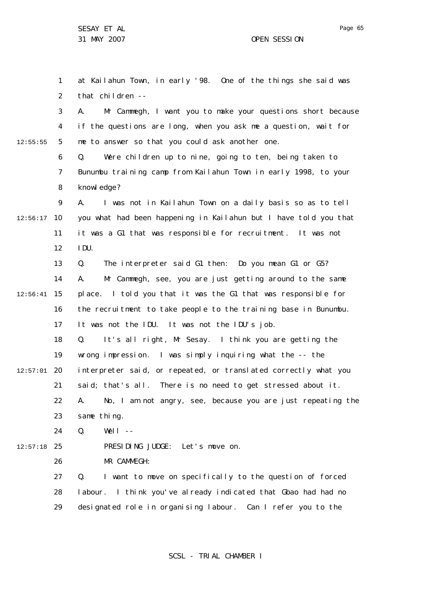Page 65

1 2 3 4 5 6 7 8  $\mathsf{Q}$ 10 12:56:17 11 12 13 14 15 12:56:41 16 17 18 19 20 12:57:01 21 22 23 24 25 12:57:18 26 27 28 29 12:55:55 at Kailahun Town, in early '98. One of the things she said was that children -- A. Mr Cammegh, I want you to make your questions short because if the questions are long, when you ask me a question, wait for me to answer so that you could ask another one. Q. Were children up to nine, going to ten, being taken to Bunumbu training camp from Kailahun Town in early 1998, to your knowl edge? A. I was not in Kailahun Town on a daily basis so as to tell you what had been happening in Kailahun but I have told you that it was a G1 that was responsible for recruitment. It was not IDU. Q. The interpreter said G1 then: Do you mean G1 or G5? A. Mr Cammegh, see, you are just getting around to the same place. I told you that it was the G1 that was responsible for the recruitment to take people to the training base in Bunumbu. It was not the IDU. It was not the IDU's job. Q. It's all right, Mr Sesay. I think you are getting the wrong impression. I was simply inquiring what the -- the interpreter said, or repeated, or translated correctly what you said; that's all. There is no need to get stressed about it. A. No, I am not angry, see, because you are just repeating the same thing.  $Q.$  Well  $-$ PRESIDING JUDGE: Let's move on. MR CAMMEGH: Q. I want to move on specifically to the question of forced labour. I think you've already indicated that Gbao had had no designated role in organising labour. Can I refer you to the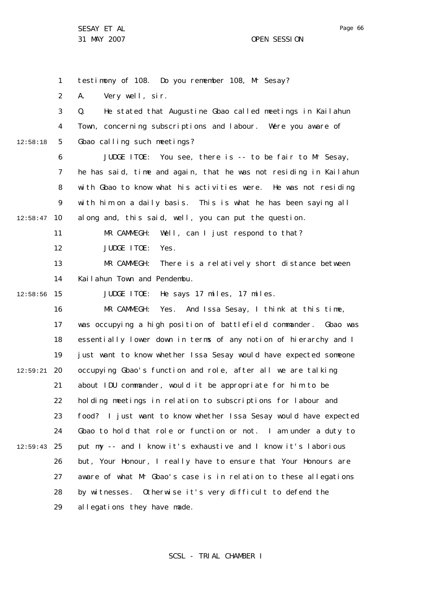1 2 3 4 5 6 7 8  $\mathsf{Q}$ 10 12:58:47 11 12 13 14 15 12:58:56 16 17 18 19 20 12:59:21 21 22 23 24 25 12:59:43 26 27 28 29 12:58:18 testimony of 108. Do you remember 108, Mr Sesay? A. Very well, sir. Q. He stated that Augustine Gbao called meetings in Kailahun Town, concerning subscriptions and labour. Were you aware of Gbao calling such meetings? JUDGE ITOE: You see, there is -- to be fair to Mr Sesay, he has said, time and again, that he was not residing in Kailahun with Gbao to know what his activities were. He was not residing with him on a daily basis. This is what he has been saying all along and, this said, well, you can put the question. MR CAMMEGH: Well, can I just respond to that? JUDGE ITOE: Yes. MR CAMMEGH: There is a relatively short distance between Kailahun Town and Pendembu. JUDGE ITOE: He says 17 miles, 17 miles. MR CAMMEGH: Yes. And Issa Sesay, I think at this time, was occupying a high position of battlefield commander. Gbao was essentially lower down in terms of any notion of hierarchy and I just want to know whether Issa Sesay would have expected someone occupying Gbao's function and role, after all we are talking about IDU commander, would it be appropriate for him to be holding meetings in relation to subscriptions for labour and food? I just want to know whether Issa Sesay would have expected Gbao to hold that role or function or not. I am under a duty to put my -- and I know it's exhaustive and I know it's laborious but, Your Honour, I really have to ensure that Your Honours are aware of what Mr Gbao's case is in relation to these allegations by witnesses. Otherwise it's very difficult to defend the allegations they have made.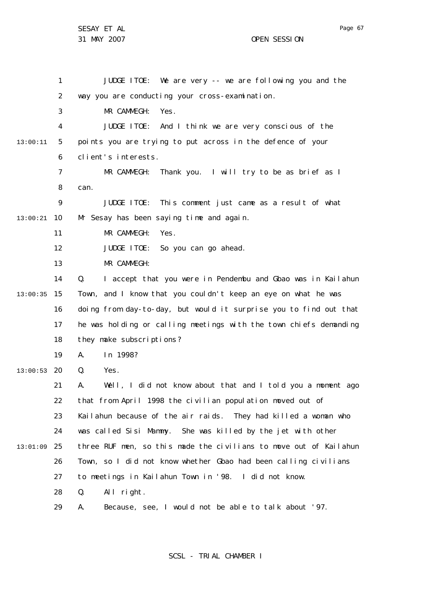Page 67

1 2 3 4 5 6 7 8  $\mathsf{Q}$ 10 13:00:21 11 12 13 14 15 13:00:35 16 17 18 19 20 13:00:53 21 22 23 24 25 13:01:09 26 27 28 29 13:00:11 JUDGE ITOE: We are very -- we are following you and the way you are conducting your cross-examination. MR CAMMEGH: Yes. JUDGE ITOE: And I think we are very conscious of the points you are trying to put across in the defence of your client's interests. MR CAMMEGH: Thank you. I will try to be as brief as I can. JUDGE ITOE: This comment just came as a result of what Mr Sesay has been saying time and again. MR CAMMEGH: Yes. JUDGE ITOE: So you can go ahead. MR CAMMEGH: Q. I accept that you were in Pendembu and Gbao was in Kailahun Town, and I know that you couldn't keep an eye on what he was doing from day-to-day, but would it surprise you to find out that he was holding or calling meetings with the town chiefs demanding they make subscriptions? A. In 1998? Q. Yes. A. Well, I did not know about that and I told you a moment ago that from April 1998 the civilian population moved out of Kailahun because of the air raids. They had killed a woman who was called Sisi Mammy. She was killed by the jet with other three RUF men, so this made the civilians to move out of Kailahun Town, so I did not know whether Gbao had been calling civilians to meetings in Kailahun Town in '98. I did not know. Q. All right. A. Because, see, I would not be able to talk about '97.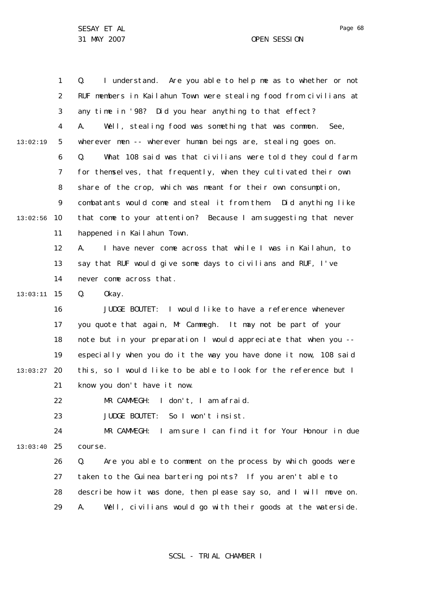1 2 3 4 5 6 7 8  $\mathsf{Q}$ 10 13:02:56 11 12 13 14 15 13:03:11 16 17 18 19 20 13:03:27 21 22 23 24 25 13:03:40 26 27 28 29 13:02:19 Q. I understand. Are you able to help me as to whether or not RUF members in Kailahun Town were stealing food from civilians at any time in '98? Did you hear anything to that effect? A. Well, stealing food was something that was common. See, wherever men -- wherever human beings are, stealing goes on. Q. What 108 said was that civilians were told they could farm for themselves, that frequently, when they cultivated their own share of the crop, which was meant for their own consumption, combatants would come and steal it from them. Did anything like that come to your attention? Because I am suggesting that never happened in Kailahun Town. A. I have never come across that while I was in Kailahun, to say that RUF would give some days to civilians and RUF, I've never come across that. Q. Okay. JUDGE BOUTET: I would like to have a reference whenever you quote that again, Mr Cammegh. It may not be part of your note but in your preparation I would appreciate that when you - especially when you do it the way you have done it now, 108 said this, so I would like to be able to look for the reference but I know you don't have it now. MR CAMMEGH: I don't, I am afraid. JUDGE BOUTET: So I won't insist. MR CAMMEGH: I am sure I can find it for Your Honour in due course. Q. Are you able to comment on the process by which goods were taken to the Guinea bartering points? If you aren't able to describe how it was done, then please say so, and I will move on. A. Well, civilians would go with their goods at the waterside.

SCSL - TRIAL CHAMBER I

Page 68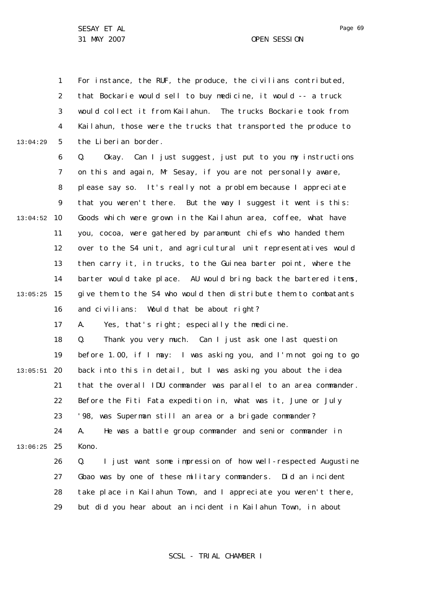31 MAY 2007 OPEN SESSION

1 2 3 4 5 6 7 8  $\mathsf{Q}$ 10 13:04:52 11 12 13 14 15 13:05:25 16 17 18 19 20 13:05:51 21 22 23 24 25 13:06:25 26 27 28 29 13:04:29 For instance, the RUF, the produce, the civilians contributed, that Bockarie would sell to buy medicine, it would -- a truck would collect it from Kailahun. The trucks Bockarie took from Kailahun, those were the trucks that transported the produce to the Liberian border. Q. Okay. Can I just suggest, just put to you my instructions on this and again, Mr Sesay, if you are not personally aware, please say so. It's really not a problem because I appreciate that you weren't there. But the way I suggest it went is this: Goods which were grown in the Kailahun area, coffee, what have you, cocoa, were gathered by paramount chiefs who handed them over to the S4 unit, and agricultural unit representatives would then carry it, in trucks, to the Guinea barter point, where the barter would take place. AU would bring back the bartered items, give them to the S4 who would then distribute them to combatants and civilians: Would that be about right? A. Yes, that's right; especially the medicine. Q. Thank you very much. Can I just ask one last question before 1.00, if I may: I was asking you, and I'm not going to go back into this in detail, but I was asking you about the idea that the overall IDU commander was parallel to an area commander. Before the Fiti Fata expedition in, what was it, June or July '98, was Superman still an area or a brigade commander? A. He was a battle group commander and senior commander in Kono. Q. I just want some impression of how well-respected Augustine Gbao was by one of these military commanders. Did an incident take place in Kailahun Town, and I appreciate you weren't there, but did you hear about an incident in Kailahun Town, in about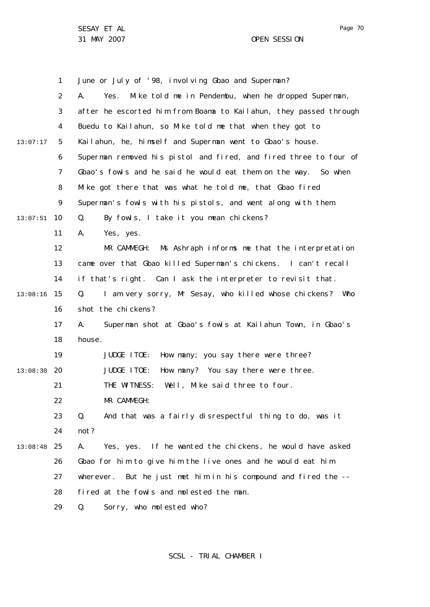1 2 3 4 5 6 7 8  $\mathsf{Q}$ 10 13:07:51 11 12 13 14 15 13:08:16 16 17 18 19 20 13:08:30 21 22 23 24 25 13:08:48 26 27 28 29 13:07:17 June or July of '98, involving Gbao and Superman? A. Yes. Mike told me in Pendembu, when he dropped Superman, after he escorted him from Boama to Kailahun, they passed through Buedu to Kailahun, so Mike told me that when they got to Kailahun, he, himself and Superman went to Gbao's house. Superman removed his pistol and fired, and fired three to four of Gbao's fowls and he said he would eat them on the way. So when Mike got there that was what he told me, that Gbao fired Superman's fowls with his pistols, and went along with them. Q. By fowls, I take it you mean chickens? A. Yes, yes. MR CAMMEGH: Ms Ashraph informs me that the interpretation came over that Gbao killed Superman's chickens. I can't recall if that's right. Can I ask the interpreter to revisit that. Q. I am very sorry, Mr Sesay, who killed whose chickens? Who shot the chickens? A. Superman shot at Gbao's fowls at Kailahun Town, in Gbao's house. JUDGE ITOE: How many; you say there were three? JUDGE ITOE: How many? You say there were three. THE WITNESS: Well, Mike said three to four. MR CAMMEGH: Q. And that was a fairly disrespectful thing to do, was it not? A. Yes, yes. If he wanted the chickens, he would have asked Gbao for him to give him the live ones and he would eat him wherever. But he just met him in his compound and fired the - fired at the fowls and molested the man. Q. Sorry, who molested who?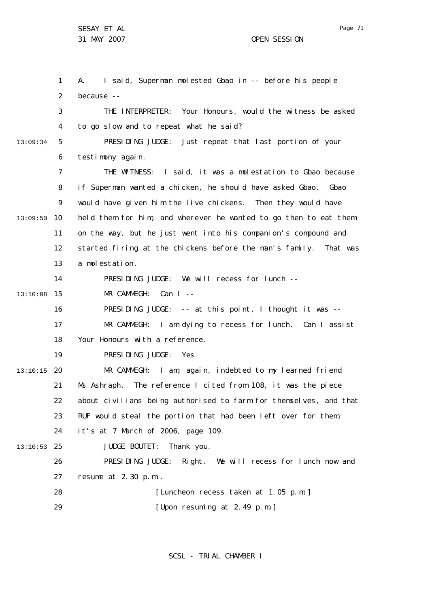1 2 3 4 5 6 7 8  $\mathsf{Q}$ 10 13:09:50 11 12 13 14 15 13:10:08 16 17 18 19 20 13:10:15 21 22 23 24 25 13:10:53 26 27 28 29 13:09:34 A. I said, Superman molested Gbao in -- before his people because -- THE INTERPRETER: Your Honours, would the witness be asked to go slow and to repeat what he said? PRESIDING JUDGE: Just repeat that last portion of your testimony again. THE WITNESS: I said, it was a molestation to Gbao because if Superman wanted a chicken, he should have asked Gbao. Gbao would have given him the live chickens. Then they would have held them for him, and wherever he wanted to go then to eat them on the way, but he just went into his companion's compound and started firing at the chickens before the man's family. That was a molestation. PRESIDING JUDGE: We will recess for lunch --  $MR$  CAMMEGH  $\cdot$  Can I --PRESIDING JUDGE: -- at this point, I thought it was -- MR CAMMEGH: I am dying to recess for lunch. Can I assist Your Honours with a reference. PRESIDING JUDGE: Yes. MR CAMMEGH: I am, again, indebted to my learned friend Ms Ashraph. The reference I cited from 108, it was the piece about civilians being authorised to farm for themselves, and that RUF would steal the portion that had been left over for them, it's at 7 March of 2006, page 109. JUDGE BOUTET: Thank you. PRESIDING JUDGE: Right. We will recess for lunch now and resume at 2.30 p.m.. [Luncheon recess taken at 1.05 p.m.] [Upon resuming at 2.49 p.m.]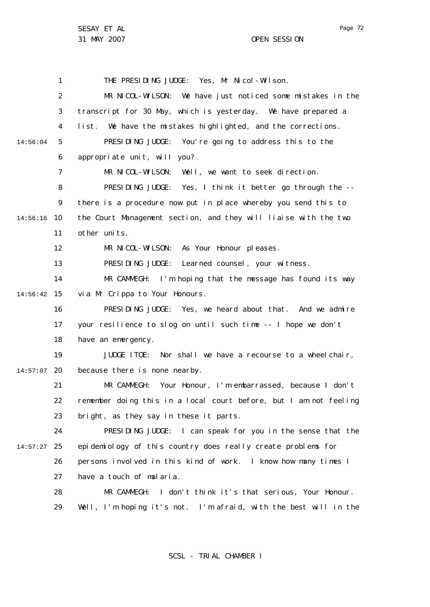1 2 3 4 5 6 7 8  $\mathsf{Q}$ 10 14:56:16 11 12 13 14 15 14:56:42 16 17 18 19 20 14:57:07 21 22 23 24 25 14:57:27 26 27 28 29 14:56:04 THE PRESIDING JUDGE: Yes, Mr Nicol-Wilson. MR NICOL-WILSON: We have just noticed some mistakes in the transcript for 30 May, which is yesterday. We have prepared a list. We have the mistakes highlighted, and the corrections. PRESIDING JUDGE: You're going to address this to the appropriate unit, will you? MR NICOL-WILSON: Well, we want to seek direction. PRESIDING JUDGE: Yes, I think it better go through the - there is a procedure now put in place whereby you send this to the Court Management section, and they will liaise with the two other units. MR NICOL-WILSON: As Your Honour pleases. PRESIDING JUDGE: Learned counsel, your witness. MR CAMMEGH: I'm hoping that the message has found its way via Mr Crippa to Your Honours. PRESIDING JUDGE: Yes, we heard about that. And we admire your resilience to slog on until such time -- I hope we don't have an emergency. JUDGE ITOE: Nor shall we have a recourse to a wheelchair, because there is none nearby. MR CAMMEGH: Your Honour, I'm embarrassed, because I don't remember doing this in a local court before, but I am not feeling bright, as they say in these it parts. PRESIDING JUDGE: I can speak for you in the sense that the epidemiology of this country does really create problems for persons involved in this kind of work. I know how many times I have a touch of malaria. MR CAMMEGH: I don't think it's that serious, Your Honour. Well, I'm hoping it's not. I'm afraid, with the best will in the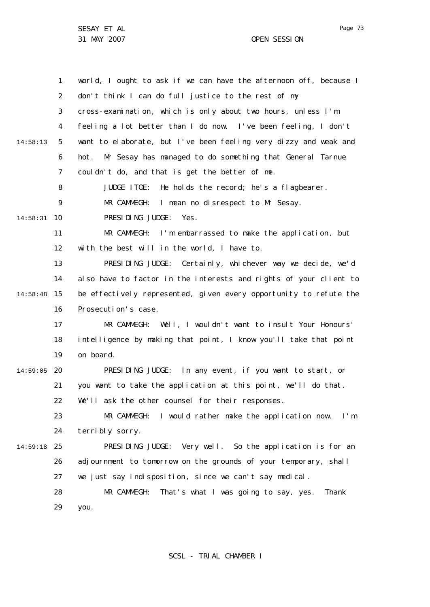SESAY ET AL 31 MAY 2007 OPEN SESSION

1 2 3 4 5 6 7 8  $\mathsf{Q}$ 10 14:58:31 11 12 13 14 15 14:58:48 16 17 18 19 20 14:59:05 21 22 23 24 25 14:59:18 26 27 28 29 14:58:13 world, I ought to ask if we can have the afternoon off, because I don't think I can do full justice to the rest of my cross-examination, which is only about two hours, unless I'm feeling a lot better than I do now. I've been feeling, I don't want to elaborate, but I've been feeling very dizzy and weak and hot. Mr Sesay has managed to do something that General Tarnue couldn't do, and that is get the better of me. JUDGE ITOE: He holds the record; he's a flagbearer. MR CAMMEGH: I mean no disrespect to Mr Sesay. PRESIDING JUDGE: Yes. MR CAMMEGH: I'm embarrassed to make the application, but with the best will in the world, I have to. PRESIDING JUDGE: Certainly, whichever way we decide, we'd also have to factor in the interests and rights of your client to be effectively represented, given every opportunity to refute the Prosecution's case. MR CAMMEGH: Well, I wouldn't want to insult Your Honours' intelligence by making that point, I know you'll take that point on board. PRESIDING JUDGE: In any event, if you want to start, or you want to take the application at this point, we'll do that. We'll ask the other counsel for their responses. MR CAMMEGH: I would rather make the application now. I'm terribly sorry. PRESIDING JUDGE: Very well. So the application is for an adjournment to tomorrow on the grounds of your temporary, shall we just say indisposition, since we can't say medical. MR CAMMEGH: That's what I was going to say, yes. Thank you.

SCSL - TRIAL CHAMBER I

Page 73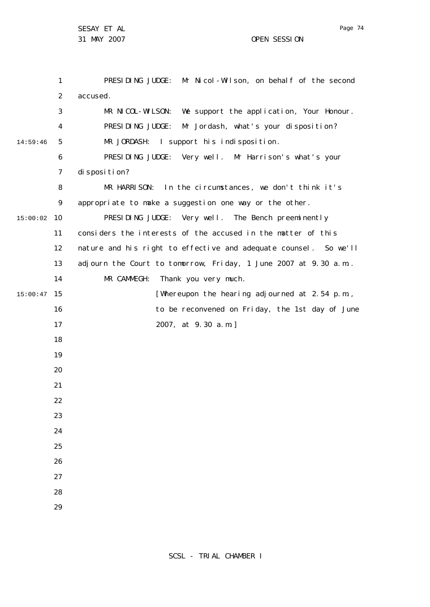1 2 3 4 5 6 7 8  $\mathsf{Q}$ 10 15:00:02 11 12 13 14 15 15:00:47 16 17 18 19 20 21 22 23 24 25 26 27 28 29 14:59:46 PRESIDING JUDGE: Mr Nicol-Wilson, on behalf of the second accused. MR NICOL-WILSON: We support the application, Your Honour. PRESIDING JUDGE: Mr Jordash, what's your disposition? MR JORDASH: I support his indisposition. PRESIDING JUDGE: Very well. Mr Harrison's what's your di sposi ti on? MR HARRISON: In the circumstances, we don't think it's appropriate to make a suggestion one way or the other. PRESIDING JUDGE: Very well. The Bench preeminently considers the interests of the accused in the matter of this nature and his right to effective and adequate counsel. So we'll adjourn the Court to tomorrow, Friday, 1 June 2007 at 9.30 a.m.. MR CAMMEGH: Thank you very much. [Whereupon the hearing adjourned at 2.54 p.m., to be reconvened on Friday, the 1st day of June 2007, at 9.30 a.m.]

Page 74